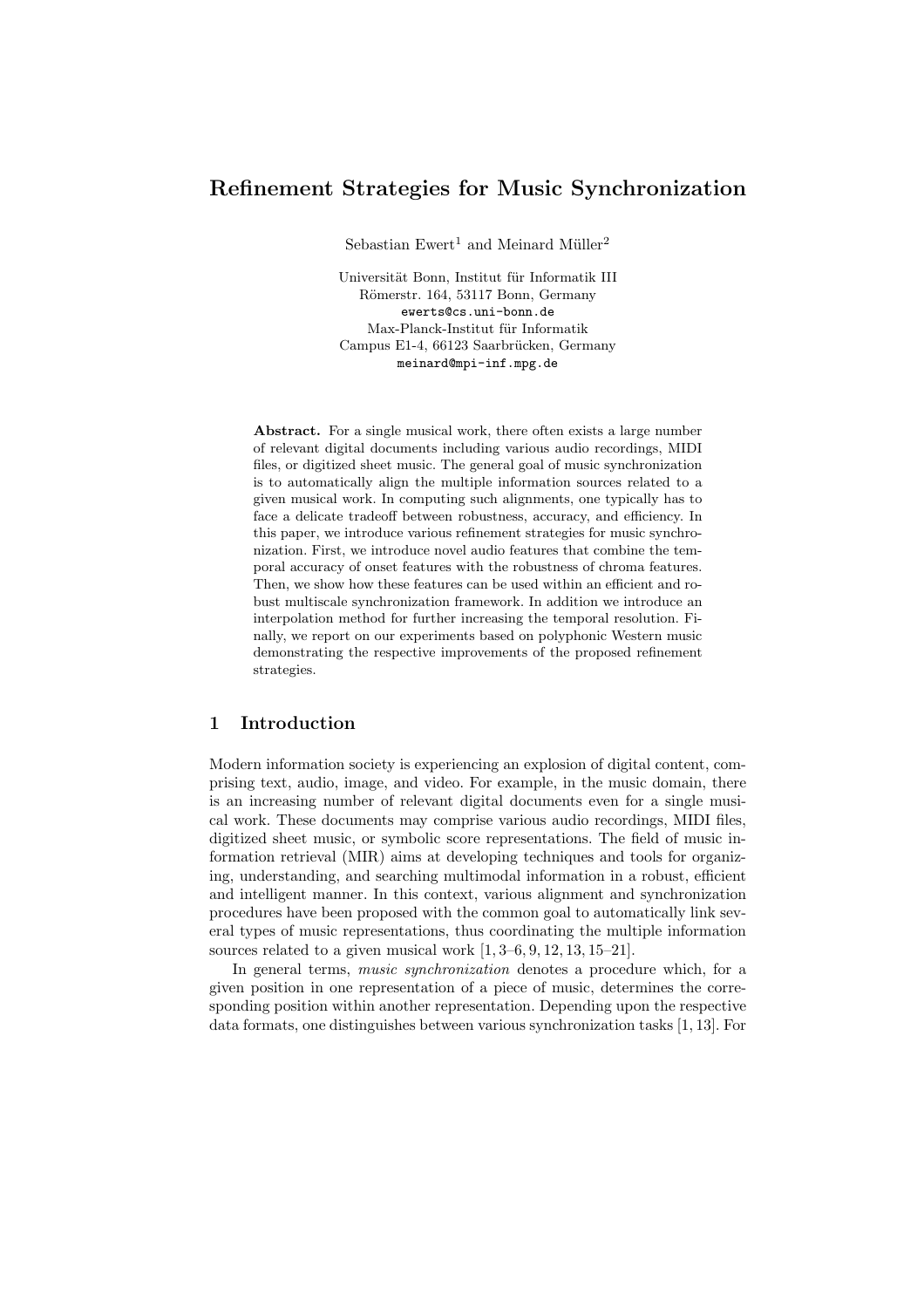# Refinement Strategies for Music Synchronization

Sebastian Ewert<sup>1</sup> and Meinard Müller<sup>2</sup>

Universität Bonn, Institut für Informatik III Römerstr. 164, 53117 Bonn, Germany ewerts@cs.uni-bonn.de Max-Planck-Institut für Informatik Campus E1-4, 66123 Saarbrücken, Germany meinard@mpi-inf.mpg.de

Abstract. For a single musical work, there often exists a large number of relevant digital documents including various audio recordings, MIDI files, or digitized sheet music. The general goal of music synchronization is to automatically align the multiple information sources related to a given musical work. In computing such alignments, one typically has to face a delicate tradeoff between robustness, accuracy, and efficiency. In this paper, we introduce various refinement strategies for music synchronization. First, we introduce novel audio features that combine the temporal accuracy of onset features with the robustness of chroma features. Then, we show how these features can be used within an efficient and robust multiscale synchronization framework. In addition we introduce an interpolation method for further increasing the temporal resolution. Finally, we report on our experiments based on polyphonic Western music demonstrating the respective improvements of the proposed refinement strategies.

# 1 Introduction

Modern information society is experiencing an explosion of digital content, comprising text, audio, image, and video. For example, in the music domain, there is an increasing number of relevant digital documents even for a single musical work. These documents may comprise various audio recordings, MIDI files, digitized sheet music, or symbolic score representations. The field of music information retrieval (MIR) aims at developing techniques and tools for organizing, understanding, and searching multimodal information in a robust, efficient and intelligent manner. In this context, various alignment and synchronization procedures have been proposed with the common goal to automatically link several types of music representations, thus coordinating the multiple information sources related to a given musical work [1, 3–6, 9, 12, 13, 15–21].

In general terms, music synchronization denotes a procedure which, for a given position in one representation of a piece of music, determines the corresponding position within another representation. Depending upon the respective data formats, one distinguishes between various synchronization tasks [1, 13]. For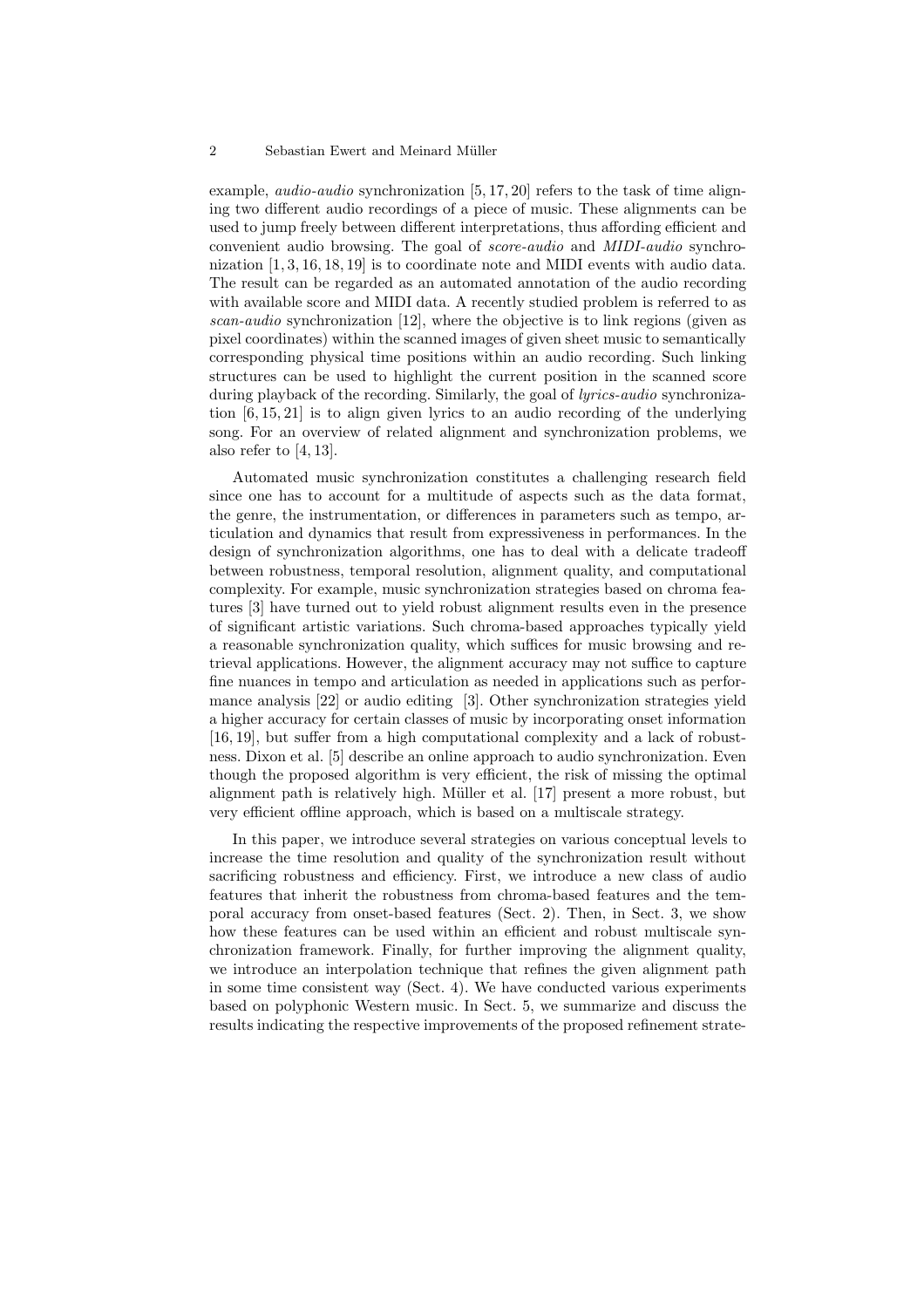example, *audio-audio* synchronization [5, 17, 20] refers to the task of time aligning two different audio recordings of a piece of music. These alignments can be used to jump freely between different interpretations, thus affording efficient and convenient audio browsing. The goal of score-audio and MIDI-audio synchronization [1, 3, 16, 18, 19] is to coordinate note and MIDI events with audio data. The result can be regarded as an automated annotation of the audio recording with available score and MIDI data. A recently studied problem is referred to as scan-audio synchronization [12], where the objective is to link regions (given as pixel coordinates) within the scanned images of given sheet music to semantically corresponding physical time positions within an audio recording. Such linking structures can be used to highlight the current position in the scanned score during playback of the recording. Similarly, the goal of *lyrics-audio* synchronization [6, 15, 21] is to align given lyrics to an audio recording of the underlying song. For an overview of related alignment and synchronization problems, we also refer to [4, 13].

Automated music synchronization constitutes a challenging research field since one has to account for a multitude of aspects such as the data format, the genre, the instrumentation, or differences in parameters such as tempo, articulation and dynamics that result from expressiveness in performances. In the design of synchronization algorithms, one has to deal with a delicate tradeoff between robustness, temporal resolution, alignment quality, and computational complexity. For example, music synchronization strategies based on chroma features [3] have turned out to yield robust alignment results even in the presence of significant artistic variations. Such chroma-based approaches typically yield a reasonable synchronization quality, which suffices for music browsing and retrieval applications. However, the alignment accuracy may not suffice to capture fine nuances in tempo and articulation as needed in applications such as performance analysis [22] or audio editing [3]. Other synchronization strategies yield a higher accuracy for certain classes of music by incorporating onset information [16, 19], but suffer from a high computational complexity and a lack of robustness. Dixon et al. [5] describe an online approach to audio synchronization. Even though the proposed algorithm is very efficient, the risk of missing the optimal alignment path is relatively high. Müller et al. [17] present a more robust, but very efficient offline approach, which is based on a multiscale strategy.

In this paper, we introduce several strategies on various conceptual levels to increase the time resolution and quality of the synchronization result without sacrificing robustness and efficiency. First, we introduce a new class of audio features that inherit the robustness from chroma-based features and the temporal accuracy from onset-based features (Sect. 2). Then, in Sect. 3, we show how these features can be used within an efficient and robust multiscale synchronization framework. Finally, for further improving the alignment quality, we introduce an interpolation technique that refines the given alignment path in some time consistent way (Sect. 4). We have conducted various experiments based on polyphonic Western music. In Sect. 5, we summarize and discuss the results indicating the respective improvements of the proposed refinement strate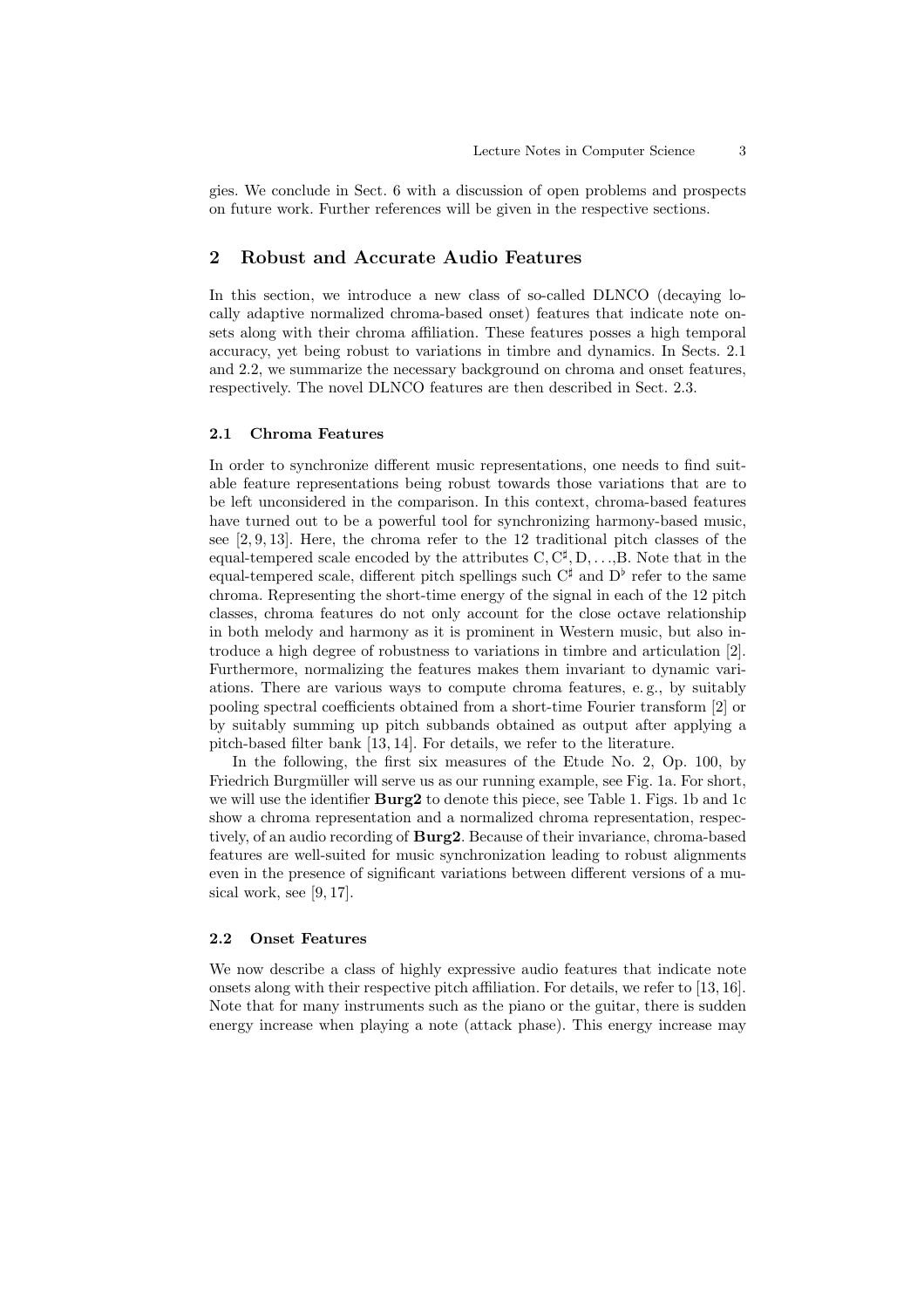gies. We conclude in Sect. 6 with a discussion of open problems and prospects on future work. Further references will be given in the respective sections.

# 2 Robust and Accurate Audio Features

In this section, we introduce a new class of so-called DLNCO (decaying locally adaptive normalized chroma-based onset) features that indicate note onsets along with their chroma affiliation. These features posses a high temporal accuracy, yet being robust to variations in timbre and dynamics. In Sects. 2.1 and 2.2, we summarize the necessary background on chroma and onset features, respectively. The novel DLNCO features are then described in Sect. 2.3.

### 2.1 Chroma Features

In order to synchronize different music representations, one needs to find suitable feature representations being robust towards those variations that are to be left unconsidered in the comparison. In this context, chroma-based features have turned out to be a powerful tool for synchronizing harmony-based music, see [2, 9, 13]. Here, the chroma refer to the 12 traditional pitch classes of the equal-tempered scale encoded by the attributes  $C, C^{\sharp}, D, \ldots, B$ . Note that in the equal-tempered scale, different pitch spellings such  $C^{\sharp}$  and  $D^{\flat}$  refer to the same chroma. Representing the short-time energy of the signal in each of the 12 pitch classes, chroma features do not only account for the close octave relationship in both melody and harmony as it is prominent in Western music, but also introduce a high degree of robustness to variations in timbre and articulation [2]. Furthermore, normalizing the features makes them invariant to dynamic variations. There are various ways to compute chroma features, e. g., by suitably pooling spectral coefficients obtained from a short-time Fourier transform [2] or by suitably summing up pitch subbands obtained as output after applying a pitch-based filter bank [13, 14]. For details, we refer to the literature.

In the following, the first six measures of the Etude No. 2, Op. 100, by Friedrich Burgmüller will serve us as our running example, see Fig. 1a. For short, we will use the identifier **Burg2** to denote this piece, see Table 1. Figs. 1b and 1c show a chroma representation and a normalized chroma representation, respectively, of an audio recording of Burg2. Because of their invariance, chroma-based features are well-suited for music synchronization leading to robust alignments even in the presence of significant variations between different versions of a musical work, see [9, 17].

#### 2.2 Onset Features

We now describe a class of highly expressive audio features that indicate note onsets along with their respective pitch affiliation. For details, we refer to [13, 16]. Note that for many instruments such as the piano or the guitar, there is sudden energy increase when playing a note (attack phase). This energy increase may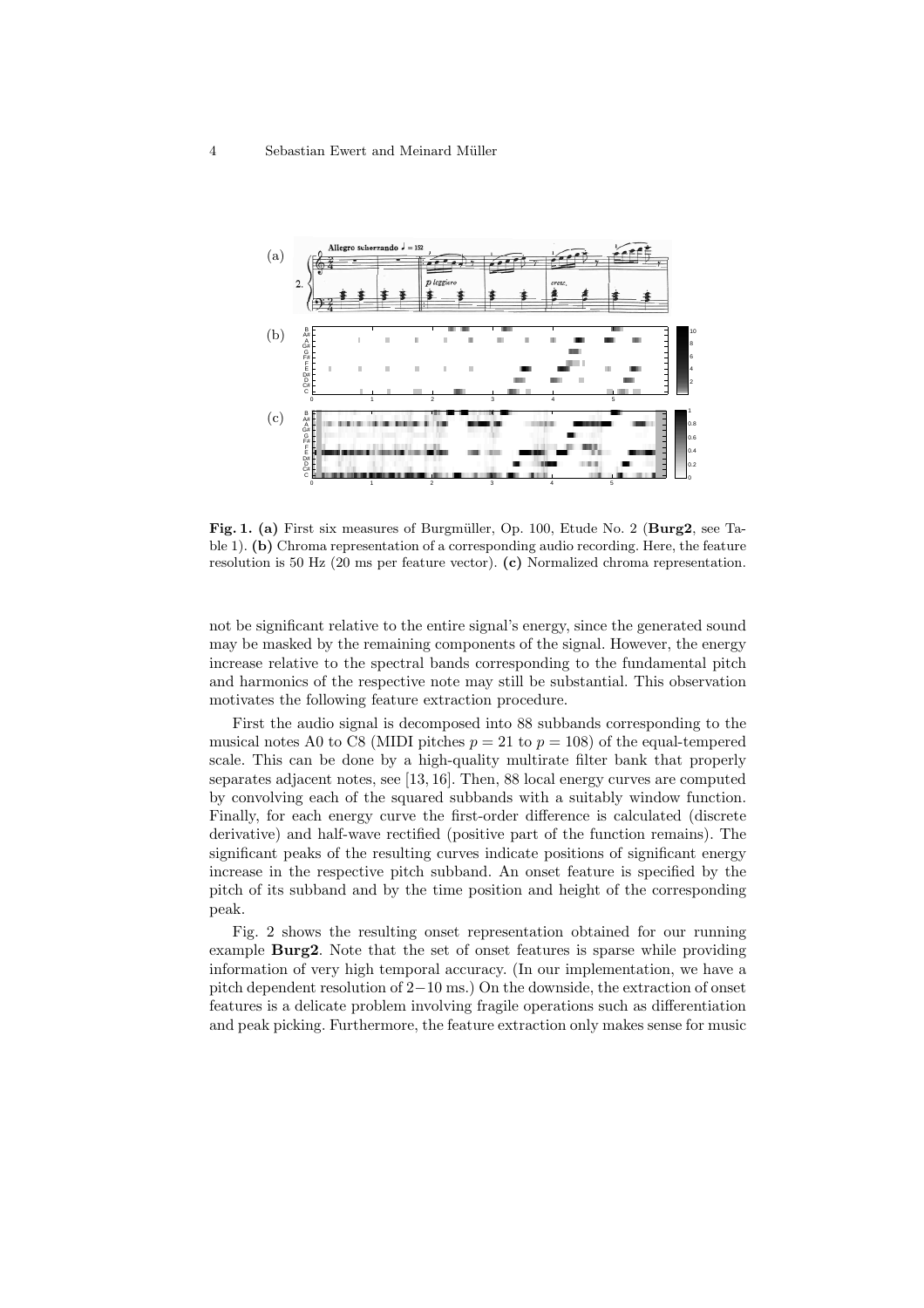

Fig. 1. (a) First six measures of Burgmüller, Op. 100, Etude No. 2 (Burg2, see Table 1). (b) Chroma representation of a corresponding audio recording. Here, the feature resolution is 50 Hz (20 ms per feature vector). (c) Normalized chroma representation.

not be significant relative to the entire signal's energy, since the generated sound may be masked by the remaining components of the signal. However, the energy increase relative to the spectral bands corresponding to the fundamental pitch and harmonics of the respective note may still be substantial. This observation motivates the following feature extraction procedure.

First the audio signal is decomposed into 88 subbands corresponding to the musical notes A0 to C8 (MIDI pitches  $p = 21$  to  $p = 108$ ) of the equal-tempered scale. This can be done by a high-quality multirate filter bank that properly separates adjacent notes, see [13, 16]. Then, 88 local energy curves are computed by convolving each of the squared subbands with a suitably window function. Finally, for each energy curve the first-order difference is calculated (discrete derivative) and half-wave rectified (positive part of the function remains). The significant peaks of the resulting curves indicate positions of significant energy increase in the respective pitch subband. An onset feature is specified by the pitch of its subband and by the time position and height of the corresponding peak.

Fig. 2 shows the resulting onset representation obtained for our running example Burg2. Note that the set of onset features is sparse while providing information of very high temporal accuracy. (In our implementation, we have a pitch dependent resolution of 2−10 ms.) On the downside, the extraction of onset features is a delicate problem involving fragile operations such as differentiation and peak picking. Furthermore, the feature extraction only makes sense for music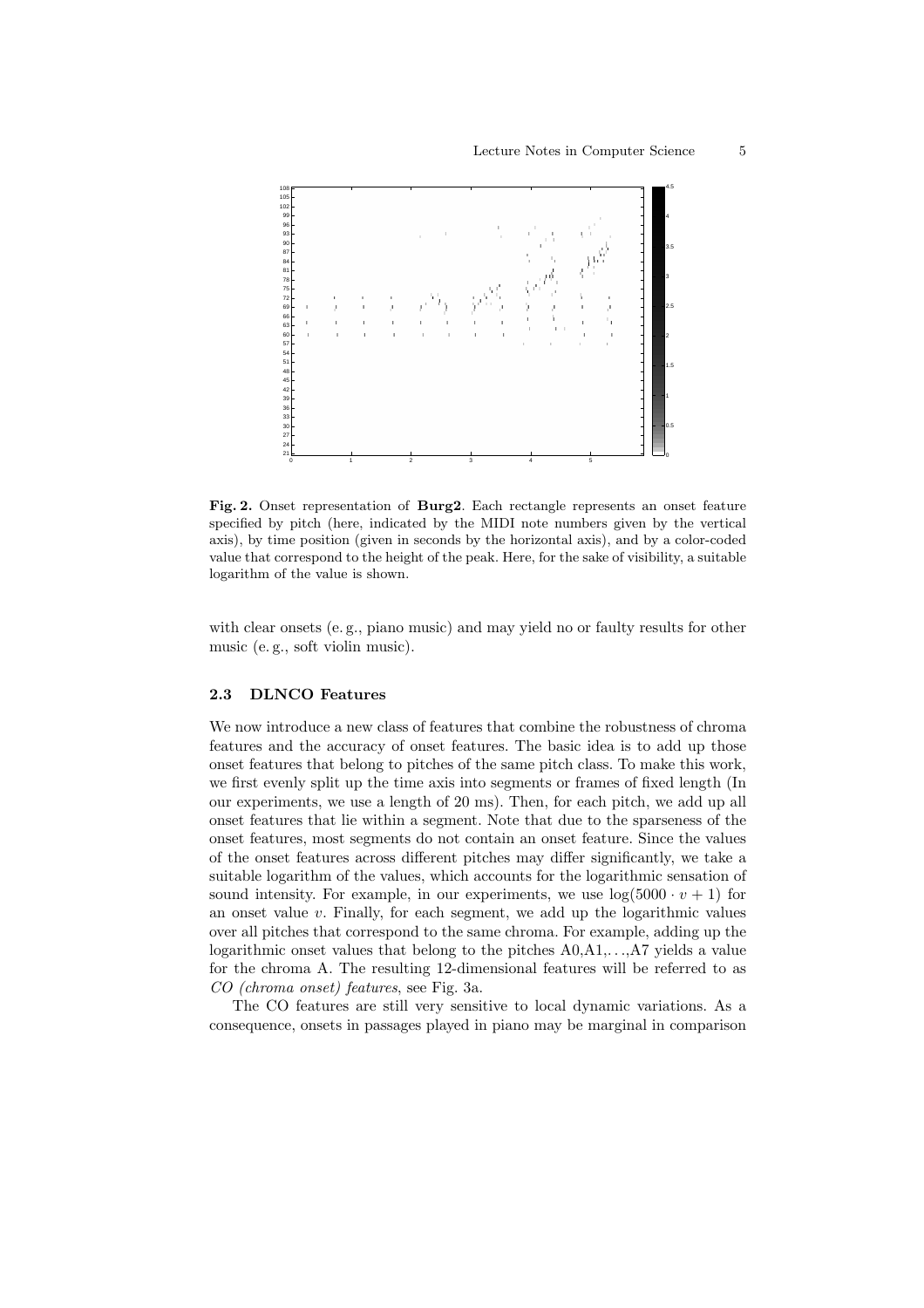

Fig. 2. Onset representation of Burg2. Each rectangle represents an onset feature specified by pitch (here, indicated by the MIDI note numbers given by the vertical axis), by time position (given in seconds by the horizontal axis), and by a color-coded value that correspond to the height of the peak. Here, for the sake of visibility, a suitable logarithm of the value is shown.

with clear onsets (e. g., piano music) and may yield no or faulty results for other music (e. g., soft violin music).

## 2.3 DLNCO Features

We now introduce a new class of features that combine the robustness of chroma features and the accuracy of onset features. The basic idea is to add up those onset features that belong to pitches of the same pitch class. To make this work, we first evenly split up the time axis into segments or frames of fixed length (In our experiments, we use a length of 20 ms). Then, for each pitch, we add up all onset features that lie within a segment. Note that due to the sparseness of the onset features, most segments do not contain an onset feature. Since the values of the onset features across different pitches may differ significantly, we take a suitable logarithm of the values, which accounts for the logarithmic sensation of sound intensity. For example, in our experiments, we use  $log(5000 \cdot v + 1)$  for an onset value v. Finally, for each segment, we add up the logarithmic values over all pitches that correspond to the same chroma. For example, adding up the logarithmic onset values that belong to the pitches A0,A1,. . .,A7 yields a value for the chroma A. The resulting 12-dimensional features will be referred to as CO (chroma onset) features, see Fig. 3a.

The CO features are still very sensitive to local dynamic variations. As a consequence, onsets in passages played in piano may be marginal in comparison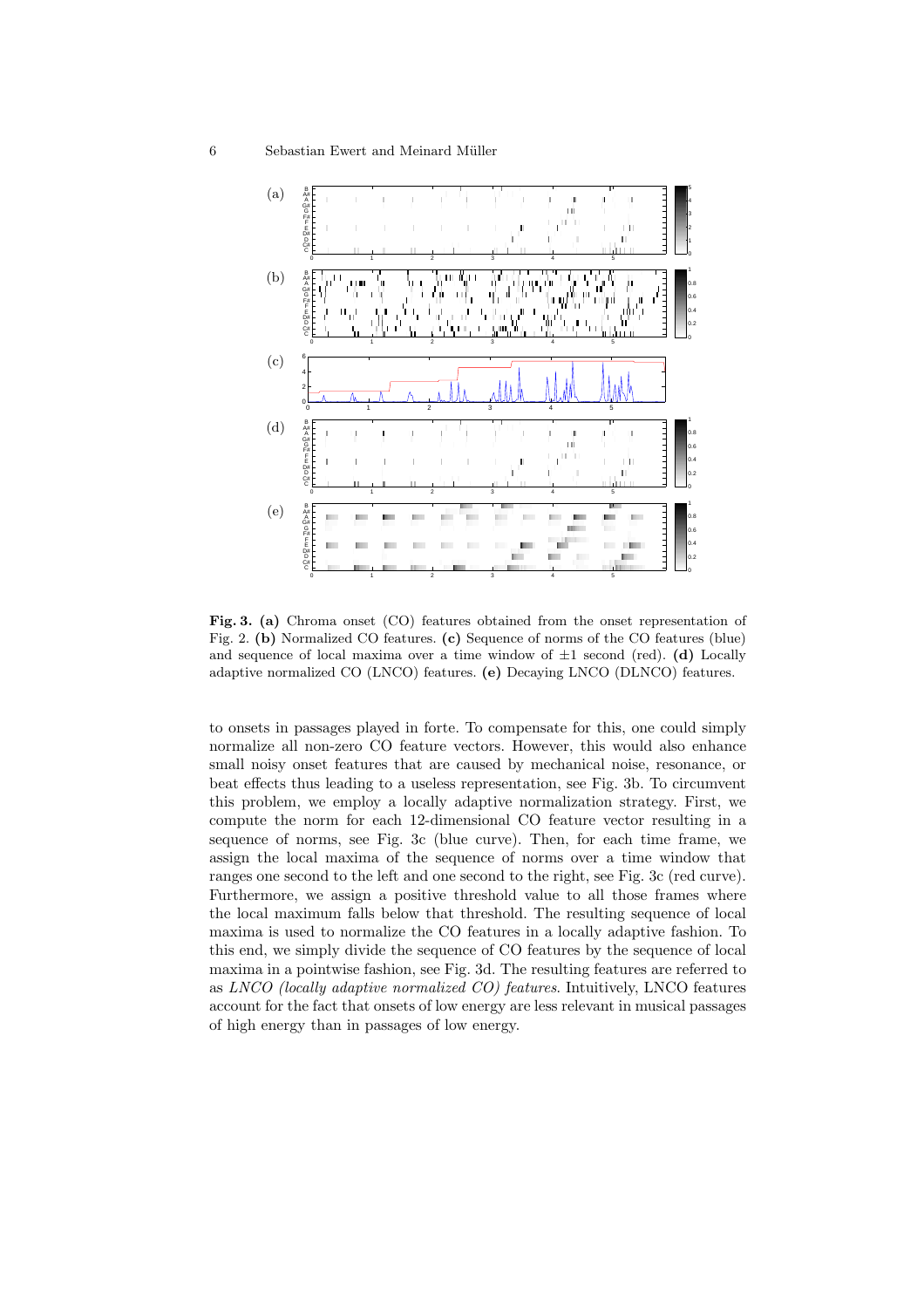

Fig. 3. (a) Chroma onset (CO) features obtained from the onset representation of Fig. 2. (b) Normalized CO features. (c) Sequence of norms of the CO features (blue) and sequence of local maxima over a time window of  $\pm 1$  second (red). (d) Locally adaptive normalized CO (LNCO) features. (e) Decaying LNCO (DLNCO) features.

to onsets in passages played in forte. To compensate for this, one could simply normalize all non-zero CO feature vectors. However, this would also enhance small noisy onset features that are caused by mechanical noise, resonance, or beat effects thus leading to a useless representation, see Fig. 3b. To circumvent this problem, we employ a locally adaptive normalization strategy. First, we compute the norm for each 12-dimensional CO feature vector resulting in a sequence of norms, see Fig. 3c (blue curve). Then, for each time frame, we assign the local maxima of the sequence of norms over a time window that ranges one second to the left and one second to the right, see Fig. 3c (red curve). Furthermore, we assign a positive threshold value to all those frames where the local maximum falls below that threshold. The resulting sequence of local maxima is used to normalize the CO features in a locally adaptive fashion. To this end, we simply divide the sequence of CO features by the sequence of local maxima in a pointwise fashion, see Fig. 3d. The resulting features are referred to as LNCO (locally adaptive normalized CO) features. Intuitively, LNCO features account for the fact that onsets of low energy are less relevant in musical passages of high energy than in passages of low energy.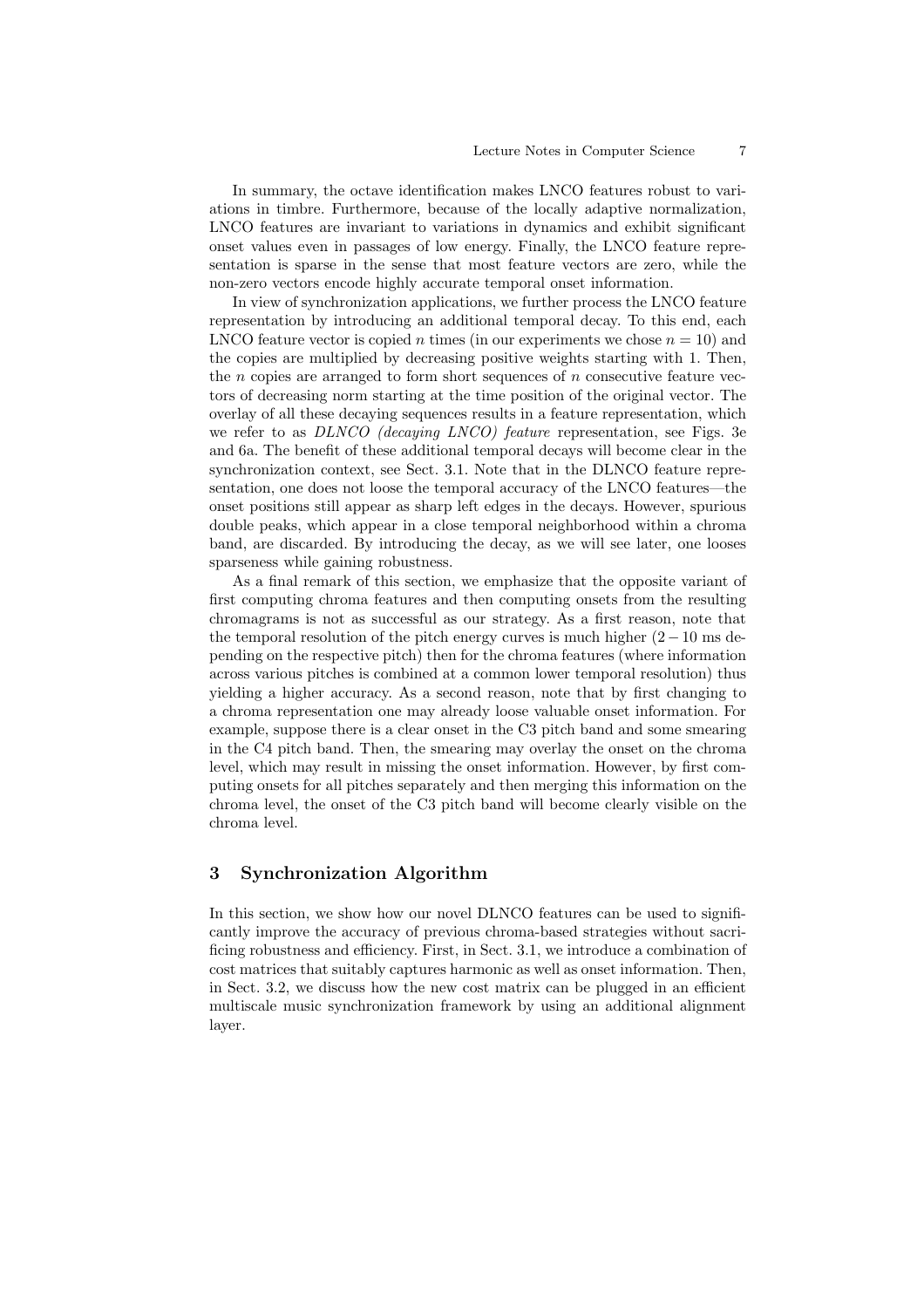In summary, the octave identification makes LNCO features robust to variations in timbre. Furthermore, because of the locally adaptive normalization, LNCO features are invariant to variations in dynamics and exhibit significant onset values even in passages of low energy. Finally, the LNCO feature representation is sparse in the sense that most feature vectors are zero, while the non-zero vectors encode highly accurate temporal onset information.

In view of synchronization applications, we further process the LNCO feature representation by introducing an additional temporal decay. To this end, each LNCO feature vector is copied n times (in our experiments we chose  $n = 10$ ) and the copies are multiplied by decreasing positive weights starting with 1. Then, the  $n$  copies are arranged to form short sequences of  $n$  consecutive feature vectors of decreasing norm starting at the time position of the original vector. The overlay of all these decaying sequences results in a feature representation, which we refer to as DLNCO (decaying LNCO) feature representation, see Figs. 3e and 6a. The benefit of these additional temporal decays will become clear in the synchronization context, see Sect. 3.1. Note that in the DLNCO feature representation, one does not loose the temporal accuracy of the LNCO features—the onset positions still appear as sharp left edges in the decays. However, spurious double peaks, which appear in a close temporal neighborhood within a chroma band, are discarded. By introducing the decay, as we will see later, one looses sparseness while gaining robustness.

As a final remark of this section, we emphasize that the opposite variant of first computing chroma features and then computing onsets from the resulting chromagrams is not as successful as our strategy. As a first reason, note that the temporal resolution of the pitch energy curves is much higher  $(2-10 \text{ ms de-})$ pending on the respective pitch) then for the chroma features (where information across various pitches is combined at a common lower temporal resolution) thus yielding a higher accuracy. As a second reason, note that by first changing to a chroma representation one may already loose valuable onset information. For example, suppose there is a clear onset in the C3 pitch band and some smearing in the C4 pitch band. Then, the smearing may overlay the onset on the chroma level, which may result in missing the onset information. However, by first computing onsets for all pitches separately and then merging this information on the chroma level, the onset of the C3 pitch band will become clearly visible on the chroma level.

# 3 Synchronization Algorithm

In this section, we show how our novel DLNCO features can be used to significantly improve the accuracy of previous chroma-based strategies without sacrificing robustness and efficiency. First, in Sect. 3.1, we introduce a combination of cost matrices that suitably captures harmonic as well as onset information. Then, in Sect. 3.2, we discuss how the new cost matrix can be plugged in an efficient multiscale music synchronization framework by using an additional alignment layer.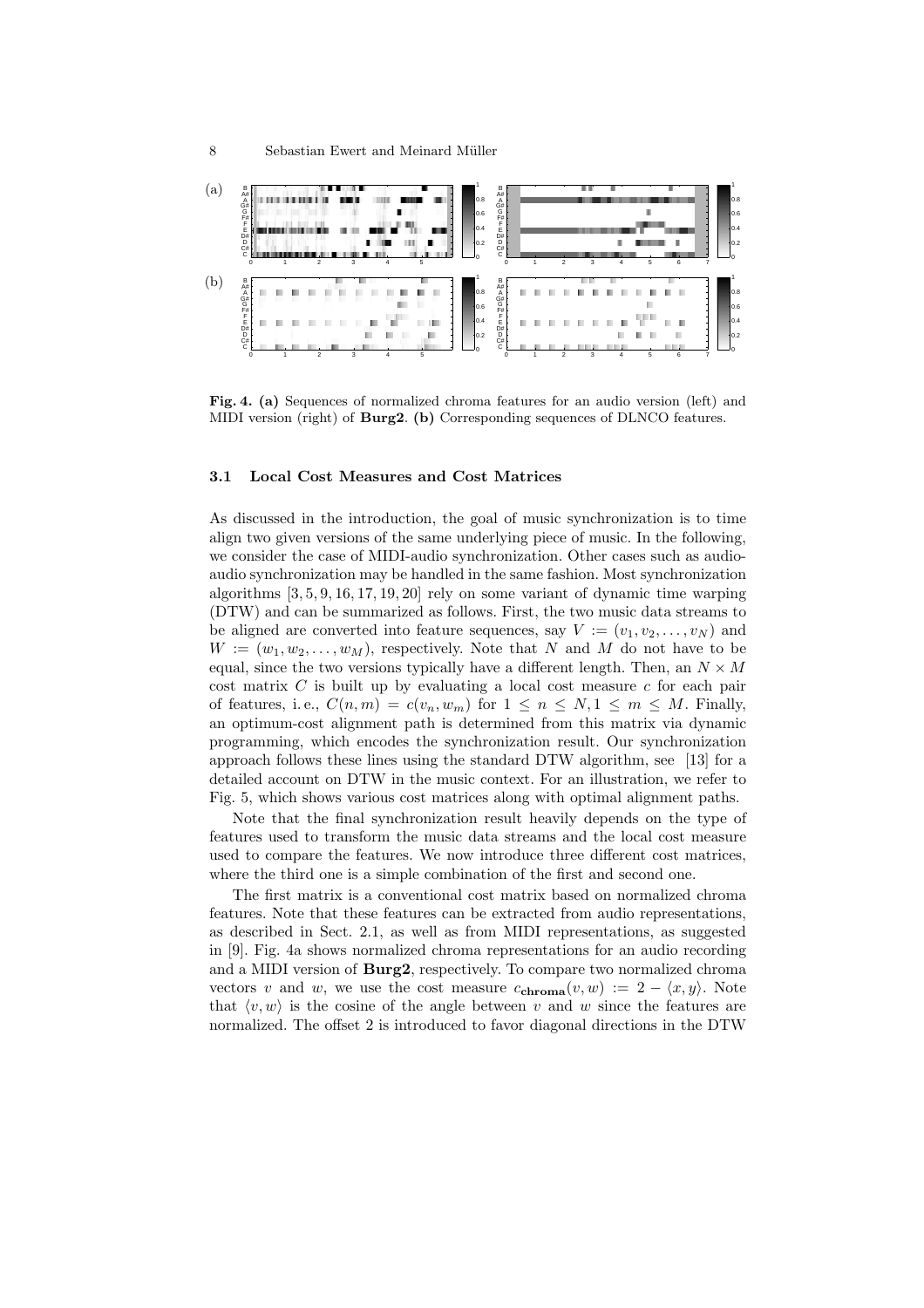

Fig. 4. (a) Sequences of normalized chroma features for an audio version (left) and MIDI version (right) of Burg2. (b) Corresponding sequences of DLNCO features.

#### 3.1 Local Cost Measures and Cost Matrices

As discussed in the introduction, the goal of music synchronization is to time align two given versions of the same underlying piece of music. In the following, we consider the case of MIDI-audio synchronization. Other cases such as audioaudio synchronization may be handled in the same fashion. Most synchronization algorithms  $[3, 5, 9, 16, 17, 19, 20]$  rely on some variant of dynamic time warping (DTW) and can be summarized as follows. First, the two music data streams to be aligned are converted into feature sequences, say  $V := (v_1, v_2, \ldots, v_N)$  and  $W := (w_1, w_2, \ldots, w_M)$ , respectively. Note that N and M do not have to be equal, since the two versions typically have a different length. Then, an  $N \times M$ cost matrix  $C$  is built up by evaluating a local cost measure  $c$  for each pair of features, i.e.,  $C(n, m) = c(v_n, w_m)$  for  $1 \leq n \leq N, 1 \leq m \leq M$ . Finally, an optimum-cost alignment path is determined from this matrix via dynamic programming, which encodes the synchronization result. Our synchronization approach follows these lines using the standard DTW algorithm, see [13] for a detailed account on DTW in the music context. For an illustration, we refer to Fig. 5, which shows various cost matrices along with optimal alignment paths.

Note that the final synchronization result heavily depends on the type of features used to transform the music data streams and the local cost measure used to compare the features. We now introduce three different cost matrices, where the third one is a simple combination of the first and second one.

The first matrix is a conventional cost matrix based on normalized chroma features. Note that these features can be extracted from audio representations, as described in Sect. 2.1, as well as from MIDI representations, as suggested in [9]. Fig. 4a shows normalized chroma representations for an audio recording and a MIDI version of Burg2, respectively. To compare two normalized chroma vectors v and w, we use the cost measure  $c_{\text{chroma}}(v, w) := 2 - \langle x, y \rangle$ . Note that  $\langle v, w \rangle$  is the cosine of the angle between v and w since the features are normalized. The offset 2 is introduced to favor diagonal directions in the DTW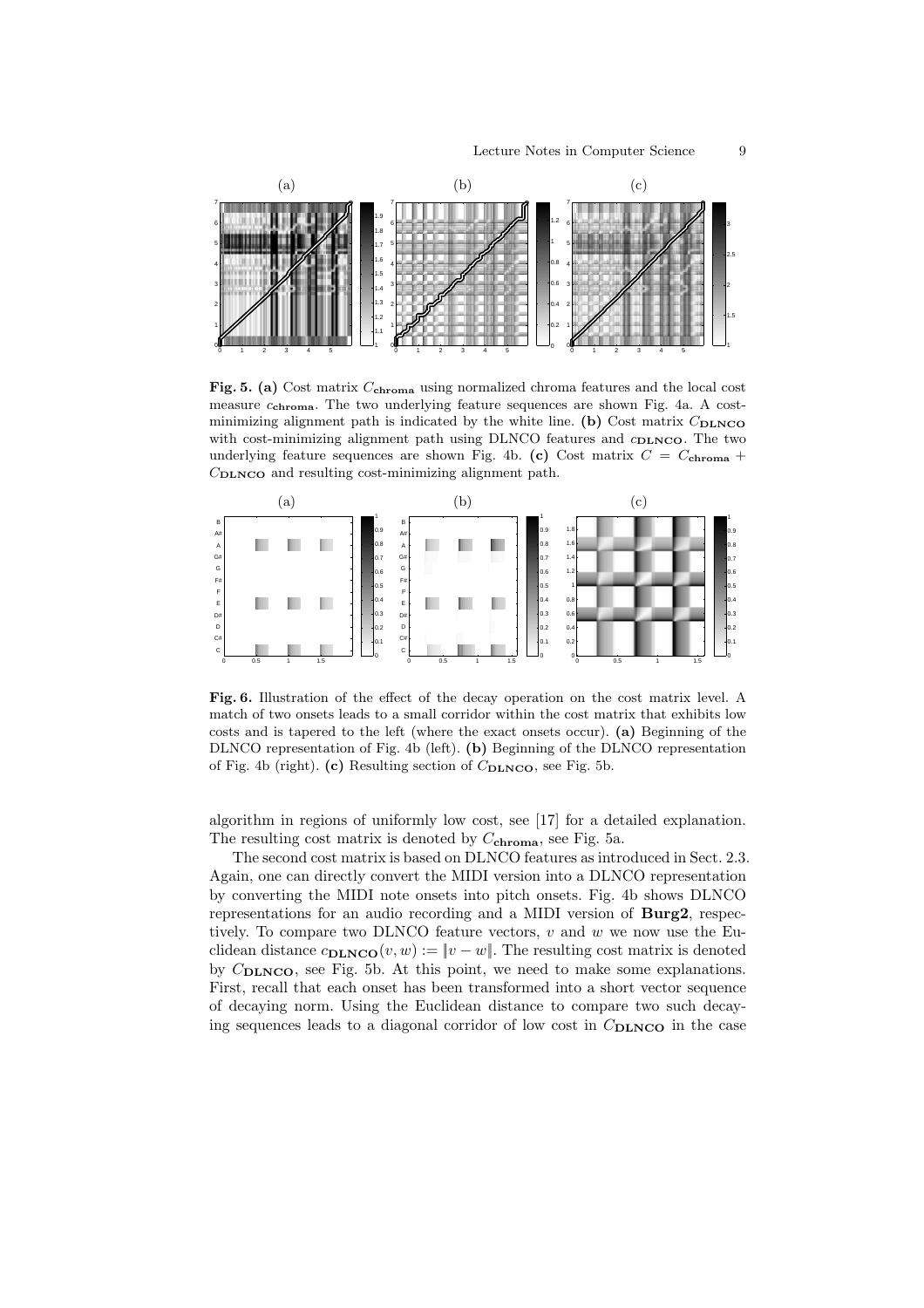

Fig. 5. (a) Cost matrix  $C_{\text{chroma}}$  using normalized chroma features and the local cost measure  $c_{\rm chroma}$ . The two underlying feature sequences are shown Fig. 4a. A costminimizing alignment path is indicated by the white line. (b) Cost matrix  $C_{\text{DLNCO}}$ with cost-minimizing alignment path using DLNCO features and  $c_{\text{DLNCO}}$ . The two underlying feature sequences are shown Fig. 4b. (c) Cost matrix  $C = C_{\text{chroma}} + C$  $C_{\text{DLNCO}}$  and resulting cost-minimizing alignment path.



Fig. 6. Illustration of the effect of the decay operation on the cost matrix level. A match of two onsets leads to a small corridor within the cost matrix that exhibits low costs and is tapered to the left (where the exact onsets occur). (a) Beginning of the DLNCO representation of Fig. 4b (left). (b) Beginning of the DLNCO representation of Fig. 4b (right). (c) Resulting section of  $C_{\text{DLNCO}}$ , see Fig. 5b.

algorithm in regions of uniformly low cost, see [17] for a detailed explanation. The resulting cost matrix is denoted by  $C_{\text{chroma}}$ , see Fig. 5a.

The second cost matrix is based on DLNCO features as introduced in Sect. 2.3. Again, one can directly convert the MIDI version into a DLNCO representation by converting the MIDI note onsets into pitch onsets. Fig. 4b shows DLNCO representations for an audio recording and a MIDI version of Burg2, respectively. To compare two DLNCO feature vectors,  $v$  and  $w$  we now use the Euclidean distance  $c_{\text{DLNCO}}(v, w) := ||v - w||$ . The resulting cost matrix is denoted by  $C_{\text{DLNCO}}$ , see Fig. 5b. At this point, we need to make some explanations. First, recall that each onset has been transformed into a short vector sequence of decaying norm. Using the Euclidean distance to compare two such decaying sequences leads to a diagonal corridor of low cost in  $C_{\text{DLNCO}}$  in the case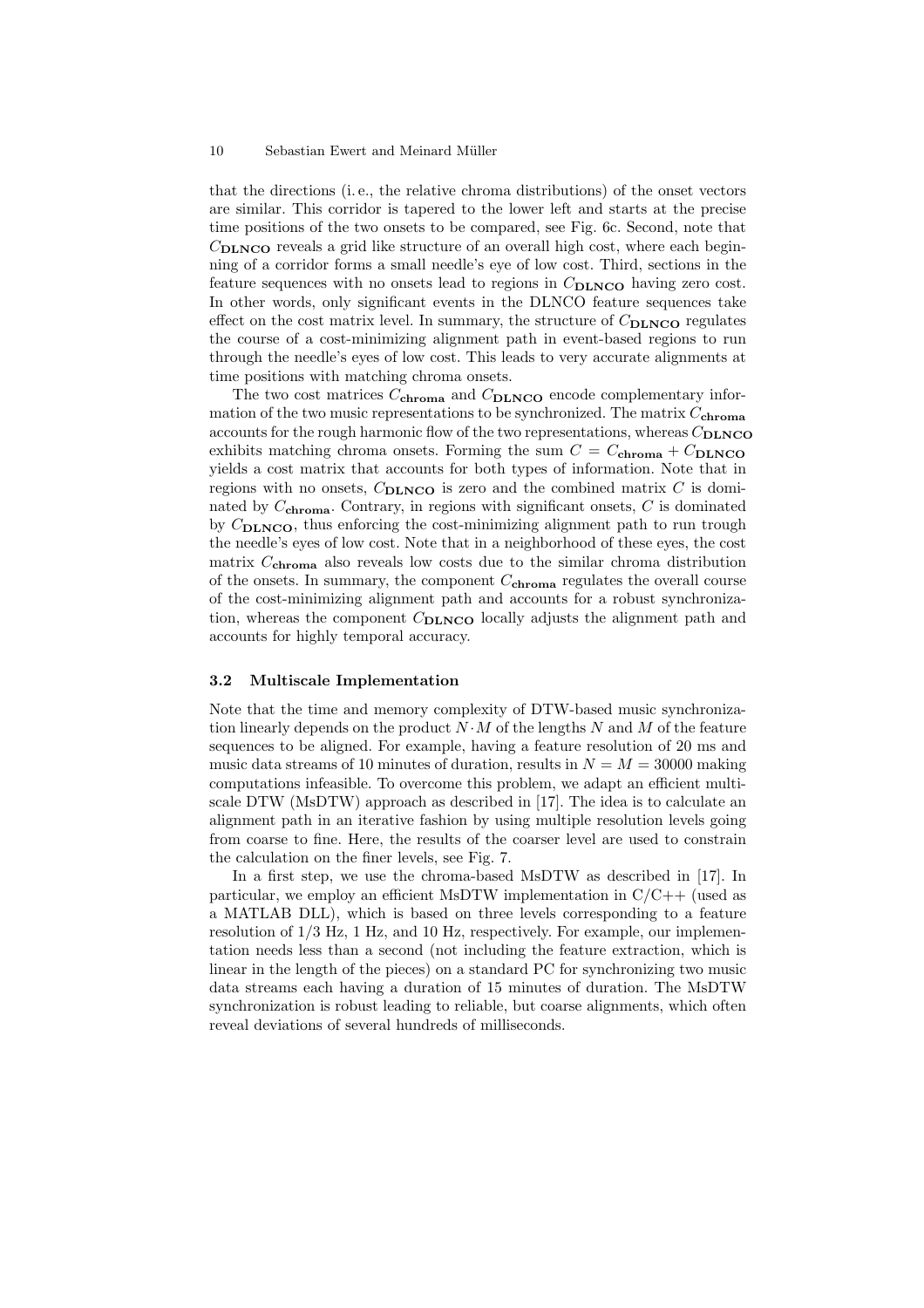#### 10 Sebastian Ewert and Meinard Müller

that the directions (i. e., the relative chroma distributions) of the onset vectors are similar. This corridor is tapered to the lower left and starts at the precise time positions of the two onsets to be compared, see Fig. 6c. Second, note that  $C_{\text{DLNCO}}$  reveals a grid like structure of an overall high cost, where each beginning of a corridor forms a small needle's eye of low cost. Third, sections in the feature sequences with no onsets lead to regions in  $C_{\text{DLNCO}}$  having zero cost. In other words, only significant events in the DLNCO feature sequences take effect on the cost matrix level. In summary, the structure of  $C_{\text{DLNCO}}$  regulates the course of a cost-minimizing alignment path in event-based regions to run through the needle's eyes of low cost. This leads to very accurate alignments at time positions with matching chroma onsets.

The two cost matrices  $C_{\text{chroma}}$  and  $C_{\text{DLNCO}}$  encode complementary information of the two music representations to be synchronized. The matrix  $C_{\text{chroma}}$ accounts for the rough harmonic flow of the two representations, whereas  $C_{\text{DLNCO}}$ exhibits matching chroma onsets. Forming the sum  $C = C_{\text{chroma}} + C_{\text{DLNCO}}$ yields a cost matrix that accounts for both types of information. Note that in regions with no onsets,  $C_{\text{DLNCO}}$  is zero and the combined matrix C is dominated by  $C_{\text{chroma}}$ . Contrary, in regions with significant onsets,  $C$  is dominated by  $C_{\text{DLNCO}}$ , thus enforcing the cost-minimizing alignment path to run trough the needle's eyes of low cost. Note that in a neighborhood of these eyes, the cost matrix  $C_{\text{chroma}}$  also reveals low costs due to the similar chroma distribution of the onsets. In summary, the component  $C_{\text{chroma}}$  regulates the overall course of the cost-minimizing alignment path and accounts for a robust synchronization, whereas the component  $C_{\text{DLNCO}}$  locally adjusts the alignment path and accounts for highly temporal accuracy.

### 3.2 Multiscale Implementation

Note that the time and memory complexity of DTW-based music synchronization linearly depends on the product  $N \cdot M$  of the lengths N and M of the feature sequences to be aligned. For example, having a feature resolution of 20 ms and music data streams of 10 minutes of duration, results in  $N = M = 30000$  making computations infeasible. To overcome this problem, we adapt an efficient multiscale DTW (MsDTW) approach as described in [17]. The idea is to calculate an alignment path in an iterative fashion by using multiple resolution levels going from coarse to fine. Here, the results of the coarser level are used to constrain the calculation on the finer levels, see Fig. 7.

In a first step, we use the chroma-based MsDTW as described in [17]. In particular, we employ an efficient MsDTW implementation in  $C/C++$  (used as a MATLAB DLL), which is based on three levels corresponding to a feature resolution of 1/3 Hz, 1 Hz, and 10 Hz, respectively. For example, our implementation needs less than a second (not including the feature extraction, which is linear in the length of the pieces) on a standard PC for synchronizing two music data streams each having a duration of 15 minutes of duration. The MsDTW synchronization is robust leading to reliable, but coarse alignments, which often reveal deviations of several hundreds of milliseconds.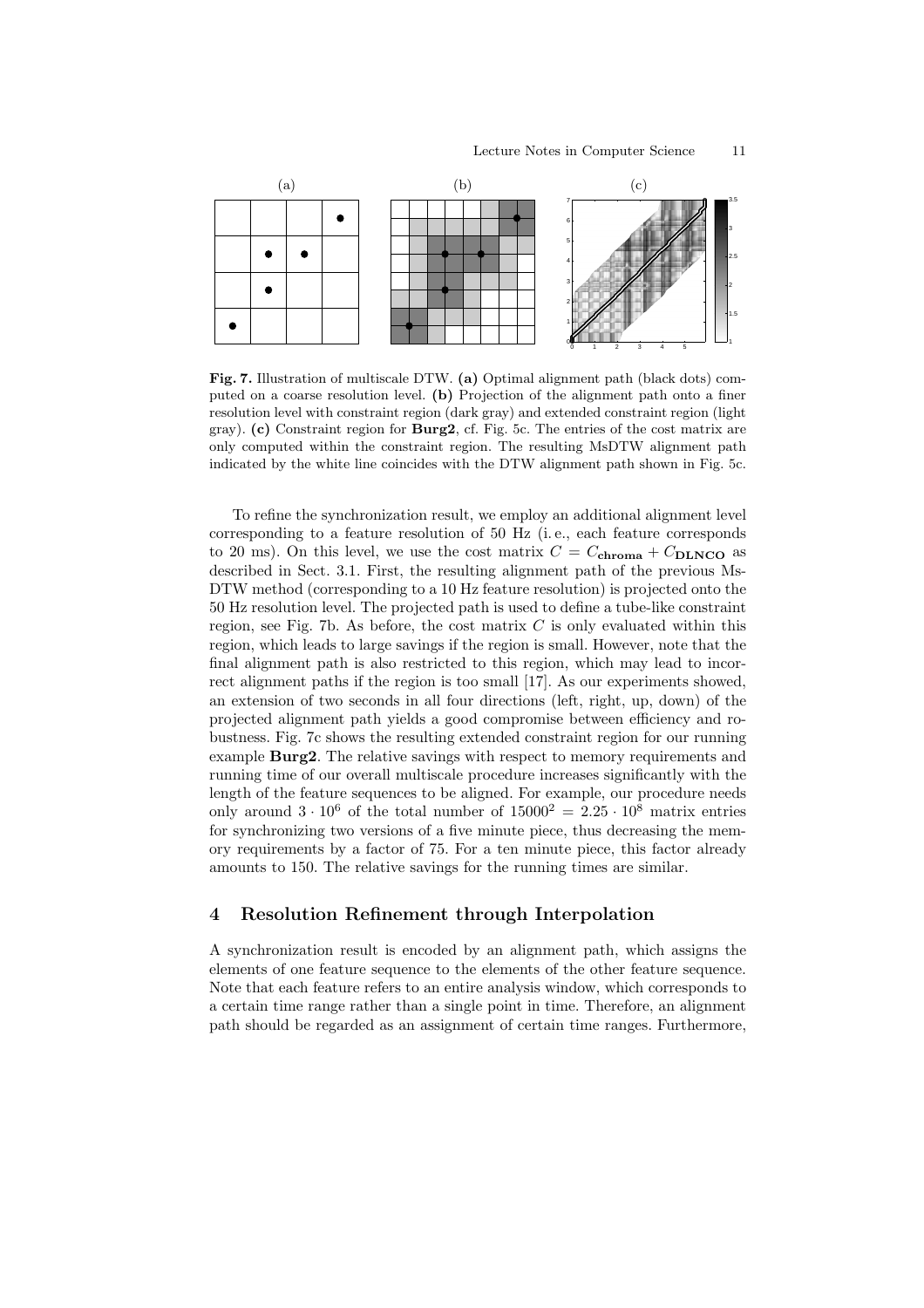

Fig. 7. Illustration of multiscale DTW. (a) Optimal alignment path (black dots) computed on a coarse resolution level. (b) Projection of the alignment path onto a finer resolution level with constraint region (dark gray) and extended constraint region (light gray). (c) Constraint region for  $Burg2$ , cf. Fig. 5c. The entries of the cost matrix are only computed within the constraint region. The resulting MsDTW alignment path indicated by the white line coincides with the DTW alignment path shown in Fig. 5c.

To refine the synchronization result, we employ an additional alignment level corresponding to a feature resolution of 50 Hz (i. e., each feature corresponds to 20 ms). On this level, we use the cost matrix  $C = C_{\text{chroma}} + C_{\text{DLNCO}}$  as described in Sect. 3.1. First, the resulting alignment path of the previous Ms-DTW method (corresponding to a 10 Hz feature resolution) is projected onto the 50 Hz resolution level. The projected path is used to define a tube-like constraint region, see Fig. 7b. As before, the cost matrix  $C$  is only evaluated within this region, which leads to large savings if the region is small. However, note that the final alignment path is also restricted to this region, which may lead to incorrect alignment paths if the region is too small [17]. As our experiments showed, an extension of two seconds in all four directions (left, right, up, down) of the projected alignment path yields a good compromise between efficiency and robustness. Fig. 7c shows the resulting extended constraint region for our running example Burg2. The relative savings with respect to memory requirements and running time of our overall multiscale procedure increases significantly with the length of the feature sequences to be aligned. For example, our procedure needs only around  $3 \cdot 10^6$  of the total number of  $15000^2 = 2.25 \cdot 10^8$  matrix entries for synchronizing two versions of a five minute piece, thus decreasing the memory requirements by a factor of 75. For a ten minute piece, this factor already amounts to 150. The relative savings for the running times are similar.

### 4 Resolution Refinement through Interpolation

A synchronization result is encoded by an alignment path, which assigns the elements of one feature sequence to the elements of the other feature sequence. Note that each feature refers to an entire analysis window, which corresponds to a certain time range rather than a single point in time. Therefore, an alignment path should be regarded as an assignment of certain time ranges. Furthermore,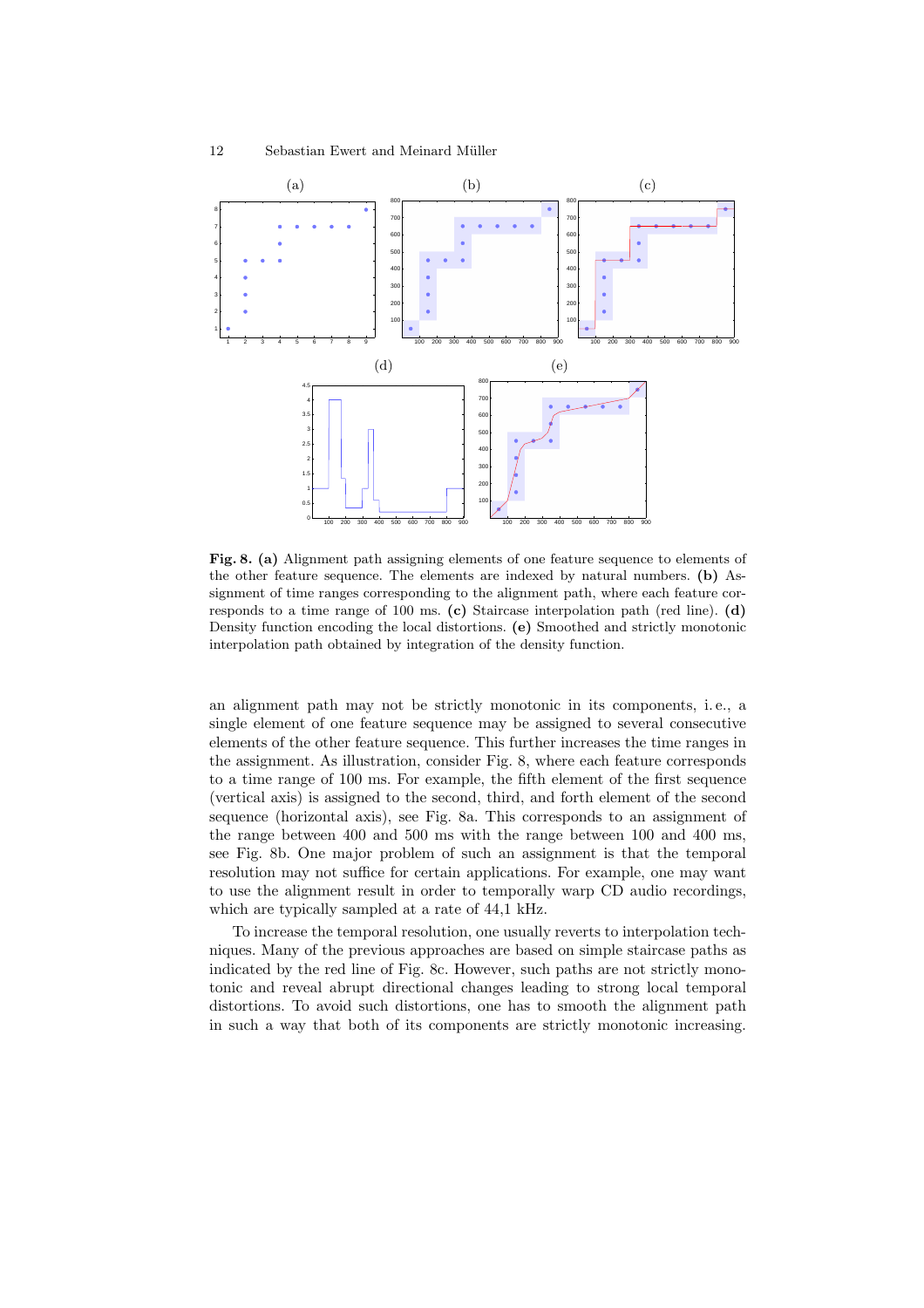

Fig. 8. (a) Alignment path assigning elements of one feature sequence to elements of the other feature sequence. The elements are indexed by natural numbers. (b) Assignment of time ranges corresponding to the alignment path, where each feature corresponds to a time range of 100 ms. (c) Staircase interpolation path (red line). (d) Density function encoding the local distortions. (e) Smoothed and strictly monotonic interpolation path obtained by integration of the density function.

an alignment path may not be strictly monotonic in its components, i. e., a single element of one feature sequence may be assigned to several consecutive elements of the other feature sequence. This further increases the time ranges in the assignment. As illustration, consider Fig. 8, where each feature corresponds to a time range of 100 ms. For example, the fifth element of the first sequence (vertical axis) is assigned to the second, third, and forth element of the second sequence (horizontal axis), see Fig. 8a. This corresponds to an assignment of the range between 400 and 500 ms with the range between 100 and 400 ms, see Fig. 8b. One major problem of such an assignment is that the temporal resolution may not suffice for certain applications. For example, one may want to use the alignment result in order to temporally warp CD audio recordings, which are typically sampled at a rate of 44,1 kHz.

To increase the temporal resolution, one usually reverts to interpolation techniques. Many of the previous approaches are based on simple staircase paths as indicated by the red line of Fig. 8c. However, such paths are not strictly monotonic and reveal abrupt directional changes leading to strong local temporal distortions. To avoid such distortions, one has to smooth the alignment path in such a way that both of its components are strictly monotonic increasing.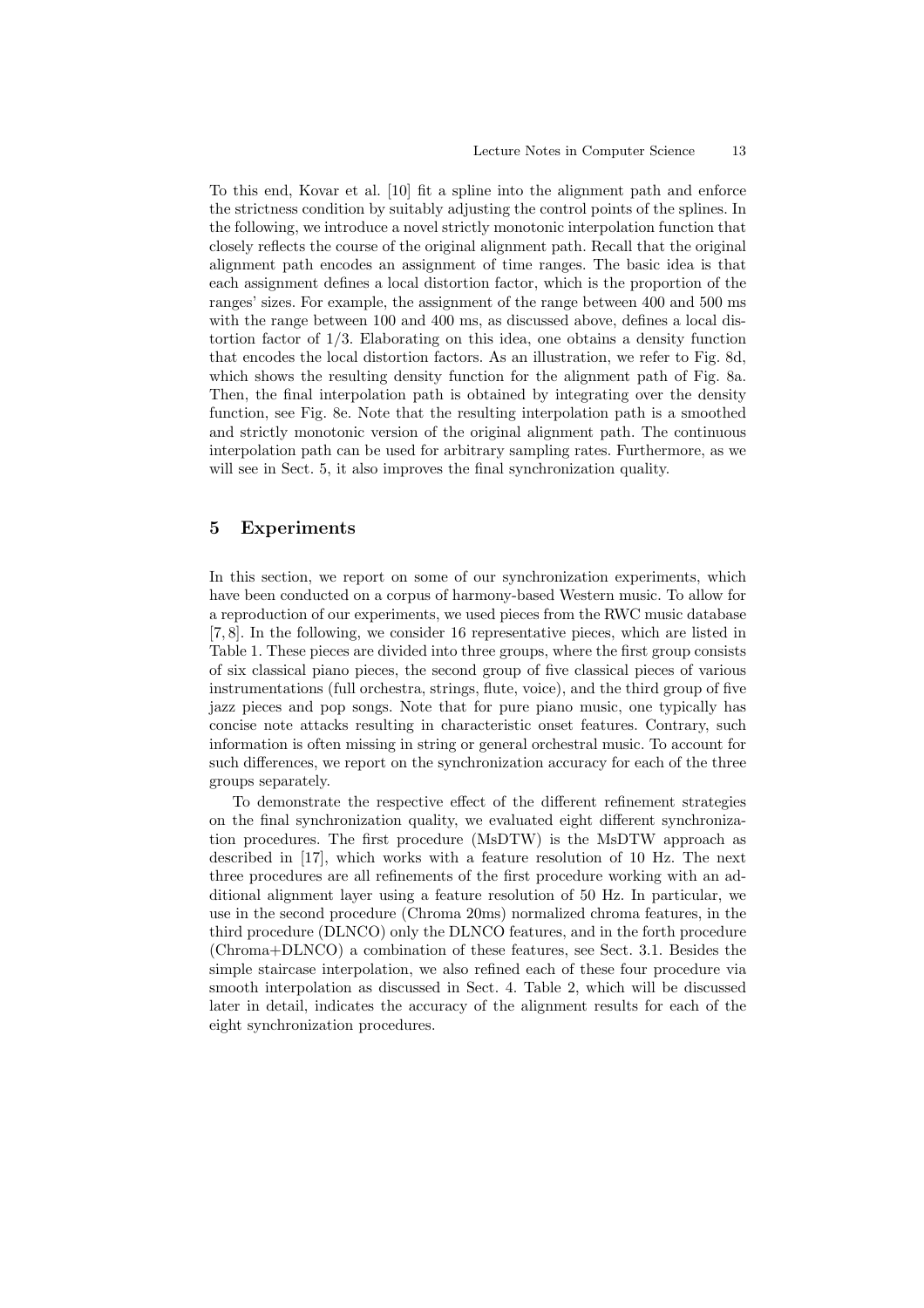To this end, Kovar et al. [10] fit a spline into the alignment path and enforce the strictness condition by suitably adjusting the control points of the splines. In the following, we introduce a novel strictly monotonic interpolation function that closely reflects the course of the original alignment path. Recall that the original alignment path encodes an assignment of time ranges. The basic idea is that each assignment defines a local distortion factor, which is the proportion of the ranges' sizes. For example, the assignment of the range between 400 and 500 ms with the range between 100 and 400 ms, as discussed above, defines a local distortion factor of 1/3. Elaborating on this idea, one obtains a density function that encodes the local distortion factors. As an illustration, we refer to Fig. 8d, which shows the resulting density function for the alignment path of Fig. 8a. Then, the final interpolation path is obtained by integrating over the density function, see Fig. 8e. Note that the resulting interpolation path is a smoothed and strictly monotonic version of the original alignment path. The continuous interpolation path can be used for arbitrary sampling rates. Furthermore, as we will see in Sect. 5, it also improves the final synchronization quality.

# 5 Experiments

In this section, we report on some of our synchronization experiments, which have been conducted on a corpus of harmony-based Western music. To allow for a reproduction of our experiments, we used pieces from the RWC music database [7, 8]. In the following, we consider 16 representative pieces, which are listed in Table 1. These pieces are divided into three groups, where the first group consists of six classical piano pieces, the second group of five classical pieces of various instrumentations (full orchestra, strings, flute, voice), and the third group of five jazz pieces and pop songs. Note that for pure piano music, one typically has concise note attacks resulting in characteristic onset features. Contrary, such information is often missing in string or general orchestral music. To account for such differences, we report on the synchronization accuracy for each of the three groups separately.

To demonstrate the respective effect of the different refinement strategies on the final synchronization quality, we evaluated eight different synchronization procedures. The first procedure (MsDTW) is the MsDTW approach as described in [17], which works with a feature resolution of 10 Hz. The next three procedures are all refinements of the first procedure working with an additional alignment layer using a feature resolution of 50 Hz. In particular, we use in the second procedure (Chroma 20ms) normalized chroma features, in the third procedure (DLNCO) only the DLNCO features, and in the forth procedure (Chroma+DLNCO) a combination of these features, see Sect. 3.1. Besides the simple staircase interpolation, we also refined each of these four procedure via smooth interpolation as discussed in Sect. 4. Table 2, which will be discussed later in detail, indicates the accuracy of the alignment results for each of the eight synchronization procedures.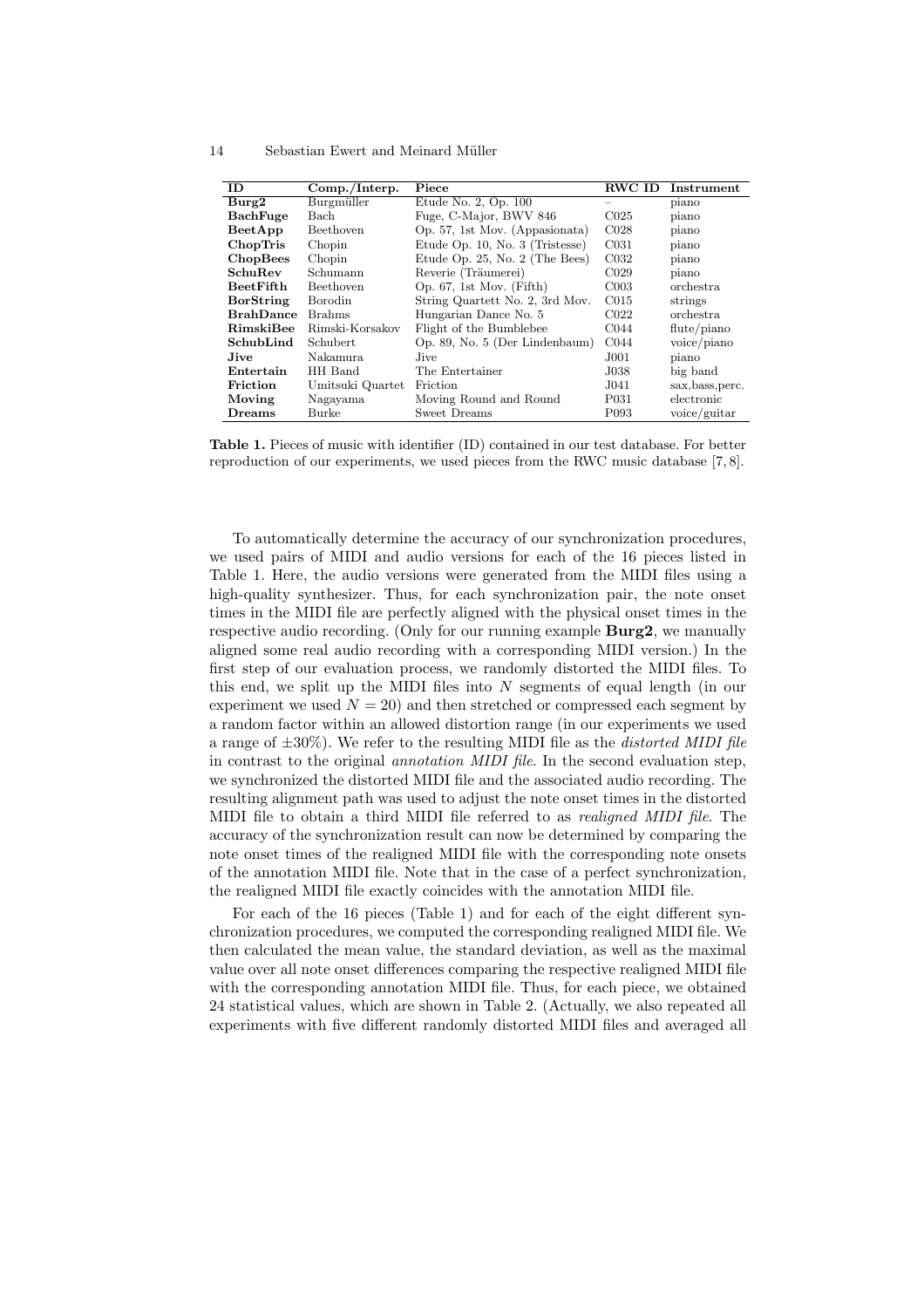#### 14 Sebastian Ewert and Meinard Müller

| <b>ID</b>        | Comp./Interp.    | Piece                               | <b>RWC ID</b>    | <b>Instrument</b> |
|------------------|------------------|-------------------------------------|------------------|-------------------|
| Burg2            | Burgmü           | Etude No. 2, Op. 100                |                  | piano             |
| <b>BachFuge</b>  | Bach             | Fuge, C-Major, BWV 846              | CO <sub>25</sub> | piano             |
| BeetApp          | Beethoven        | Op. 57, 1st Mov. (Appasionata)      | CO <sub>28</sub> | piano             |
| ChopTris         | Chopin           | Etude Op. 10, No. 3 (Tristesse)     | C <sub>031</sub> | piano             |
| ChopBees         | Chopin           | Etude Op. $25$ , No. $2$ (The Bees) | C <sub>032</sub> | piano             |
| SchuRev          | Schumann         | Reverie (Träumerei)                 | C <sub>029</sub> | piano             |
| <b>BeetFifth</b> | Beethoven        | Op. $67$ , 1st Mov. (Fifth)         | CO <sub>03</sub> | orchestra         |
| <b>BorString</b> | <b>Borodin</b>   | String Quartett No. 2, 3rd Mov.     | C015             | strings           |
| <b>BrahDance</b> | <b>Brahms</b>    | Hungarian Dance No. 5               | C <sub>022</sub> | orchestra.        |
| <b>RimskiBee</b> | Rimski-Korsakov  | Flight of the Bumblebee             | C044             | flute/piano       |
| SchubLind        | Schubert         | Op. 89, No. 5 (Der Lindenbaum)      | CO <sub>44</sub> | $\rm voice/piano$ |
| Jive.            | Nakamura.        | Jive                                | J001.            | piano             |
| Entertain        | HH Band          | The Entertainer                     | J038             | big band          |
| Friction         | Umitsuki Quartet | Friction                            | J041             | sax, bass, perc.  |
| Moving           | Nagayama         | Moving Round and Round              | P031             | electronic        |
| Dreams           | Burke            | Sweet Dreams                        | P <sub>093</sub> | voice/guitar      |

Table 1. Pieces of music with identifier (ID) contained in our test database. For better reproduction of our experiments, we used pieces from the RWC music database [7, 8].

To automatically determine the accuracy of our synchronization procedures, we used pairs of MIDI and audio versions for each of the 16 pieces listed in Table 1. Here, the audio versions were generated from the MIDI files using a high-quality synthesizer. Thus, for each synchronization pair, the note onset times in the MIDI file are perfectly aligned with the physical onset times in the respective audio recording. (Only for our running example **Burg2**, we manually aligned some real audio recording with a corresponding MIDI version.) In the first step of our evaluation process, we randomly distorted the MIDI files. To this end, we split up the MIDI files into  $N$  segments of equal length (in our experiment we used  $N = 20$ ) and then stretched or compressed each segment by a random factor within an allowed distortion range (in our experiments we used a range of  $\pm 30\%$ ). We refer to the resulting MIDI file as the *distorted MIDI file* in contrast to the original annotation MIDI file. In the second evaluation step, we synchronized the distorted MIDI file and the associated audio recording. The resulting alignment path was used to adjust the note onset times in the distorted MIDI file to obtain a third MIDI file referred to as realigned MIDI file. The accuracy of the synchronization result can now be determined by comparing the note onset times of the realigned MIDI file with the corresponding note onsets of the annotation MIDI file. Note that in the case of a perfect synchronization, the realigned MIDI file exactly coincides with the annotation MIDI file.

For each of the 16 pieces (Table 1) and for each of the eight different synchronization procedures, we computed the corresponding realigned MIDI file. We then calculated the mean value, the standard deviation, as well as the maximal value over all note onset differences comparing the respective realigned MIDI file with the corresponding annotation MIDI file. Thus, for each piece, we obtained 24 statistical values, which are shown in Table 2. (Actually, we also repeated all experiments with five different randomly distorted MIDI files and averaged all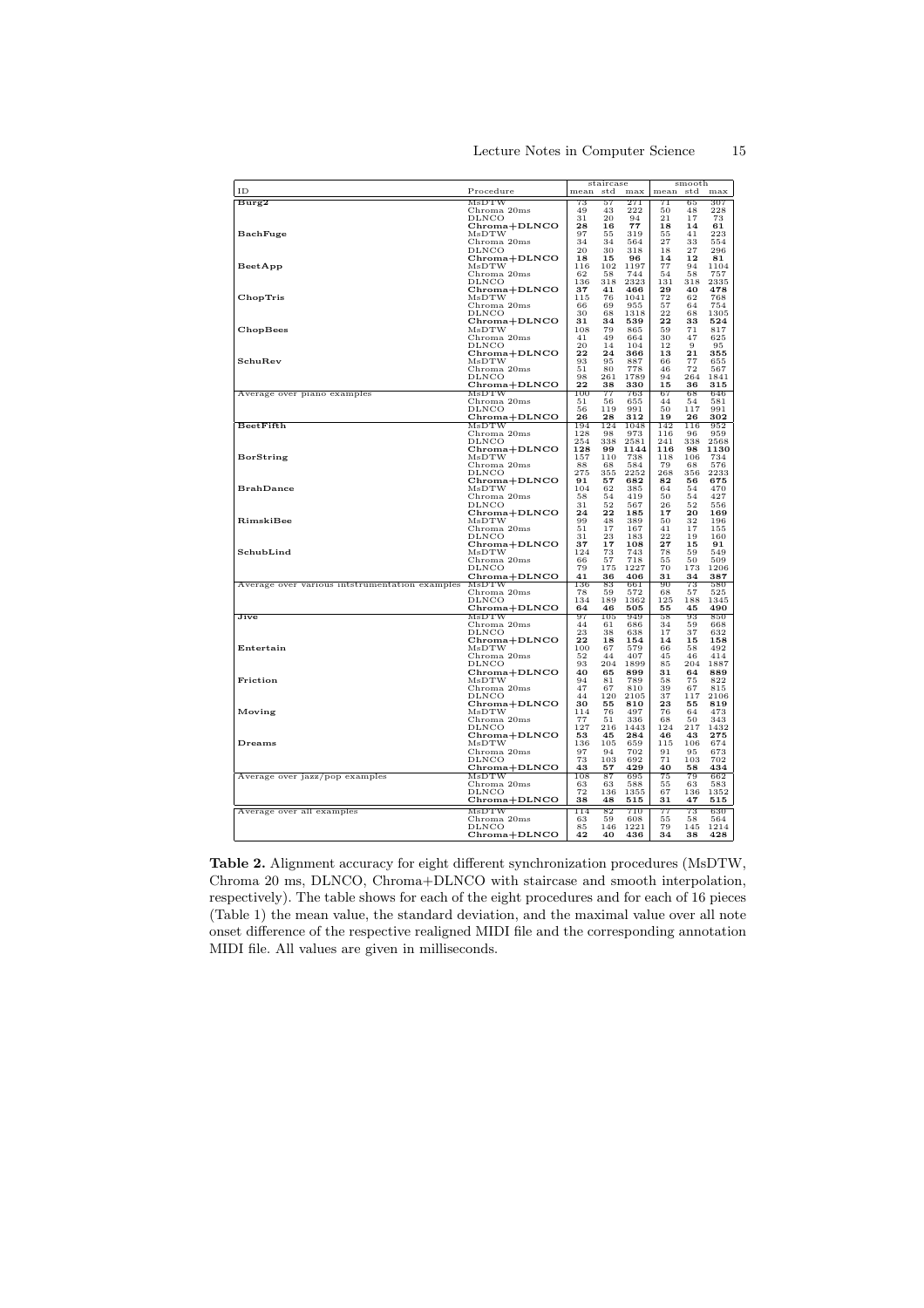|                                                |                             | staircase |           | smooth      |          |           |             |
|------------------------------------------------|-----------------------------|-----------|-----------|-------------|----------|-----------|-------------|
| ID                                             | Procedure                   | mean      | std       | max         | mean     | std       | $_{\max}$   |
| Burg2                                          | MsDTW                       | 73        | 57        | 271         | 71       | 65        | 307         |
|                                                | Chroma 20ms                 | 49        | 43        | 222         | 50       | 48        | 228         |
|                                                | DLNCO                       | 31        | 20        | 94          | 21       | 17        | 73          |
|                                                | $Chroma+DLNCO$              | 28        | 16        | 77          | 18       | 14        | 61          |
| BachFuge                                       | MsDTW                       | 97        | 55        | 319         | 55       | 41        | 223         |
|                                                | Chroma 20ms                 | 34        | 34        | 564         | 27       | 33        | 554         |
|                                                | DLNCO                       | 20<br>18  | 30<br>15  | 318<br>96   | 18<br>14 | 27<br>12  | 296<br>81   |
| BeetApp                                        | $Chroma+DLNCO$<br>MsDTW     | 116       | 102       | 1197        | 77       | 94        | 1104        |
|                                                | Chroma 20ms                 | 62        | 58        | 744         | 54       | 58        | 757         |
|                                                | DLNCO                       | 136       | 318       | 2323        | 131      | 318       | 2335        |
|                                                | $Chroma+DLNCO$              | 37        | 41        | 466         | 29       | 40        | 478         |
| ChopTris                                       | MsDTW                       | 115       | 76        | 1041        | 72       | 62        | 768         |
|                                                | Chroma 20ms                 | 66        | 69        | 955         | 57       | 64        | 754         |
|                                                | <b>DLNCO</b>                | 30        | 68        | 1318        | 22       | 68        | 1305        |
|                                                | $Chroma+DLNCO$              | 31        | 34        | 539         | 22       | 33        | 524         |
| ChopBees                                       | MsDTW                       | 108       | 79        | 865         | 59       | 71        | 817         |
|                                                | Chroma 20ms                 | 41        | 49        | 664         | 30       | 47        | 625         |
|                                                | DLNCO                       | 20        | 14        | 104         | 12       | 9         | 95          |
|                                                | $Chroma+DLNCO$              | 22        | 24        | 366         | 13       | 21        | 355         |
| SchuRev                                        | MsDTW                       | 93        | 95<br>80  | 887         | 66       | 77        | 655         |
|                                                | Chroma 20ms<br>DLNCO        | 51<br>98  | 261       | 778<br>1789 | 46<br>94 | 72<br>264 | 567<br>1841 |
|                                                | $Chroma+DLNCO$              | 22        | 38        | 330         | 15       | 36        | 315         |
|                                                | ${\rm MsDTW}$               | 100       | 77        | 763         | 67       | 68        | 646         |
| Average over piano examples                    | Chroma 20ms                 | 51        | 56        | 655         | 44       | 54        | 581         |
|                                                | DLNCO                       | 56        | 119       | 991         | 50       | 117       | 991         |
|                                                | $_{\rm Chroma+DLNCO}$       | 26        | 28        | 312         | 19       | 26        | 302         |
| BeetFifth                                      | MsDTW                       | 194       | 124       | 1048        | 142      | 116       | 952         |
|                                                | Chroma 20ms                 | 128       | 98        | 973         | 116      | 96        | 959         |
|                                                | DLNCO                       | 254       | 338       | 2581        | 241      | 338       | 2568        |
|                                                | $Chroma+DLNCO$              | 128       | 99        | 1144        | 116      | 98        | 1130        |
| BorString                                      | MsDTW                       | 157       | 110       | 738         | 118      | 106       | 734         |
|                                                | Chroma 20ms                 | 88        | 68        | 584         | 79       | 68        | 576         |
|                                                | <b>DLNCO</b>                | 275       | 355       | 2252        | 268      | 356       | 2233        |
|                                                | $Chroma+DLNCO$              | 91        | 57        | 682         | 82       | 56        | 675         |
| <b>BrahDance</b>                               | MsDTW                       | 104       | 62        | 385         | 64       | 54        | 470         |
|                                                | Chroma 20ms                 | 58        | 54        | 419         | 50       | 54        | 427         |
|                                                | DLNCO                       | 31        | 52<br>22  | 567         | 26       | 52        | 556         |
|                                                | $Chroma+DLNCO$<br>MsDTW     | 24<br>99  |           | 185<br>389  | 17       | 20        | 169<br>196  |
| RimskiBee                                      | Chroma 20ms                 | 51        | 48<br>17  | 167         | 50<br>41 | 32<br>17  | 155         |
|                                                | DLNCO                       | 31        | 23        | 183         | 22       | 19        | 160         |
|                                                | $Chroma+DLNCO$              | 37        | 17        | 108         | 27       | 15        | 91          |
| SchubLind                                      | MsDTW                       | 124       | 73        | 743         | 78       | 59        | 549         |
|                                                | Chroma 20ms                 | 66        | 57        | 718         | 55       | 50        | 509         |
|                                                | DLNCO                       | 79        | 175       | 1227        | 70       | 173       | 1206        |
|                                                | $Chroma+DLNCO$              | 41        | 36        | 406         | 31       | 34        | 387         |
| Average over various intstrumentation examples | MsDTW                       | 136       | 83        | 661         | 90       | 73        | 580         |
|                                                | Chroma 20ms                 | 78        | 59        | 572         | 68       | 57        | 525         |
|                                                | DLNCO                       | 134       | 189       | 1362        | 125      | 188       | 1345        |
|                                                | $Chroma+DLNCO$              | 64        | 46        | 505         | 55       | 45        | 490         |
| Jive                                           | MsDTW                       | 97        | 105       | 949         | 58       | 93        | 850         |
|                                                | Chroma 20ms                 | 44        | 61        | 686         | 34       | 59        | 668         |
|                                                | <b>DLNCO</b>                | 23        | 38        | 638         | 17       | 37        | 632         |
| Entertain                                      | $Chroma+DLNCO$<br>MsDTW     | 22<br>100 | 18<br>67  | 154         | 14       | 15        | 158<br>492  |
|                                                | Chroma 20ms                 | 52        | 44        | 579<br>407  | 66<br>45 | 58<br>46  | 414         |
|                                                | DLNCO                       | 93        | 204       | 1899        | 85       | 204       | 1887        |
|                                                | $Chroma+DLNCO$              | 40        | 65        | 899         | 31       | 64        | 889         |
| Friction                                       | MsDTW                       | 94        | 81        | 789         | 58       | 75        | 822         |
|                                                | Chroma 20ms                 | 47        | 67        | 810         | 39       | 67        | 815         |
|                                                | DLNCO                       | 44        | 120       | 2105        | 37       | 117       | 2106        |
|                                                | $Chroma+DLNCO$              | 30        | 55        | 810         | 23       | 55        | 819         |
| Moving                                         | MsDTW                       | 114       | 76        | 497         | 76       | 64        | 473         |
|                                                | Chroma 20ms                 | 77        | 51        | 336         | 68       | 50        | 343         |
|                                                | DLNCO                       | 127       | 216       | 1443        | 124      | 217       | 1432        |
|                                                | $Chroma+DLNCO$              | 53        | 45        | 284         | 46       | 43        | 275         |
| Dreams                                         | MsDTW                       | 136       | 105       | 659         | 115      | 106       | 674         |
|                                                | Chroma 20ms                 | 97        | 94        | 702         | 91       | 95        | 673         |
|                                                | DLNCO                       | 73        | 103       | 692<br>429  | 71       | 103       | 702<br>434  |
|                                                | Chroma+DLNCO<br>MsDTW       | 43<br>108 | 57        | 695         | 40       | 58<br>79  | 662         |
| Average over jazz/pop examples                 | Chroma 20ms                 |           | 87<br>63  | 588         | 75       | 63        | 583         |
|                                                | <b>DLNCO</b>                | 63<br>72  | 136       | 1355        | 55<br>67 | 136       | 1352        |
|                                                | $Chroma+DLNCO$              | 38        | 48        | 515         | 31       | 47        | 515         |
|                                                |                             |           |           |             |          |           |             |
| Average over all examples                      | MsDTW                       | 114       | 82        | 710         | 77       | 73        | 630         |
|                                                | Chroma 20ms<br><b>DLNCO</b> | 63<br>85  | 59<br>146 | 608<br>1221 | 55<br>79 | 58<br>145 | 564<br>1214 |
|                                                |                             | 42        | 40        | 436         | 34       | 38        | 428         |
|                                                | $Chroma+DLNCO$              |           |           |             |          |           |             |

Table 2. Alignment accuracy for eight different synchronization procedures (MsDTW, Chroma 20 ms, DLNCO, Chroma+DLNCO with staircase and smooth interpolation, respectively). The table shows for each of the eight procedures and for each of 16 pieces (Table 1) the mean value, the standard deviation, and the maximal value over all note onset difference of the respective realigned MIDI file and the corresponding annotation MIDI file. All values are given in milliseconds.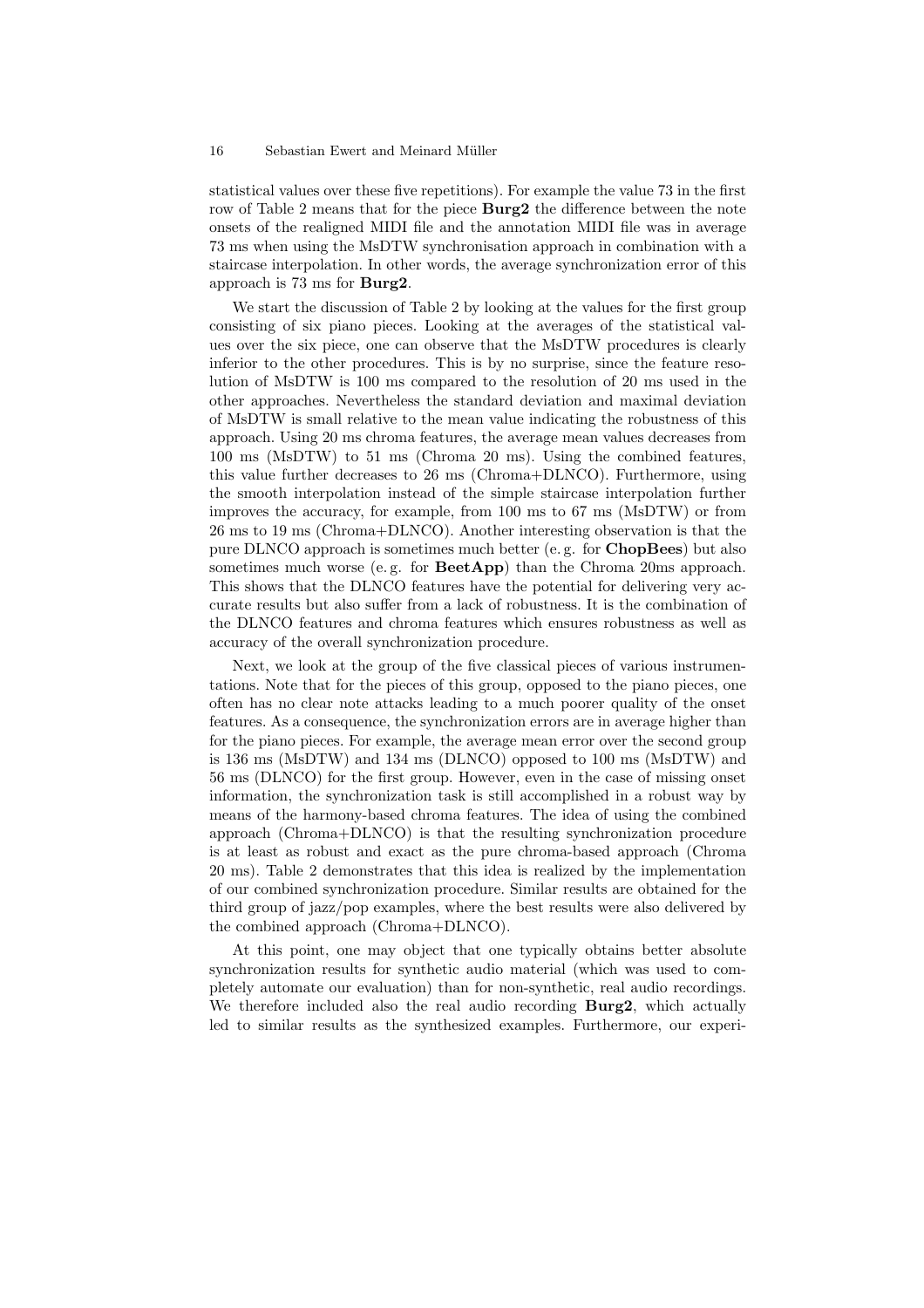#### 16 Sebastian Ewert and Meinard Müller

statistical values over these five repetitions). For example the value 73 in the first row of Table 2 means that for the piece **Burg2** the difference between the note onsets of the realigned MIDI file and the annotation MIDI file was in average 73 ms when using the MsDTW synchronisation approach in combination with a staircase interpolation. In other words, the average synchronization error of this approach is 73 ms for Burg2.

We start the discussion of Table 2 by looking at the values for the first group consisting of six piano pieces. Looking at the averages of the statistical values over the six piece, one can observe that the MsDTW procedures is clearly inferior to the other procedures. This is by no surprise, since the feature resolution of MsDTW is 100 ms compared to the resolution of 20 ms used in the other approaches. Nevertheless the standard deviation and maximal deviation of MsDTW is small relative to the mean value indicating the robustness of this approach. Using 20 ms chroma features, the average mean values decreases from 100 ms (MsDTW) to 51 ms (Chroma 20 ms). Using the combined features, this value further decreases to 26 ms (Chroma+DLNCO). Furthermore, using the smooth interpolation instead of the simple staircase interpolation further improves the accuracy, for example, from 100 ms to 67 ms (MsDTW) or from 26 ms to 19 ms (Chroma+DLNCO). Another interesting observation is that the pure DLNCO approach is sometimes much better (e. g. for ChopBees) but also sometimes much worse (e.g. for BeetApp) than the Chroma 20ms approach. This shows that the DLNCO features have the potential for delivering very accurate results but also suffer from a lack of robustness. It is the combination of the DLNCO features and chroma features which ensures robustness as well as accuracy of the overall synchronization procedure.

Next, we look at the group of the five classical pieces of various instrumentations. Note that for the pieces of this group, opposed to the piano pieces, one often has no clear note attacks leading to a much poorer quality of the onset features. As a consequence, the synchronization errors are in average higher than for the piano pieces. For example, the average mean error over the second group is 136 ms (MsDTW) and 134 ms (DLNCO) opposed to 100 ms (MsDTW) and 56 ms (DLNCO) for the first group. However, even in the case of missing onset information, the synchronization task is still accomplished in a robust way by means of the harmony-based chroma features. The idea of using the combined approach (Chroma+DLNCO) is that the resulting synchronization procedure is at least as robust and exact as the pure chroma-based approach (Chroma 20 ms). Table 2 demonstrates that this idea is realized by the implementation of our combined synchronization procedure. Similar results are obtained for the third group of jazz/pop examples, where the best results were also delivered by the combined approach (Chroma+DLNCO).

At this point, one may object that one typically obtains better absolute synchronization results for synthetic audio material (which was used to completely automate our evaluation) than for non-synthetic, real audio recordings. We therefore included also the real audio recording **Burg2**, which actually led to similar results as the synthesized examples. Furthermore, our experi-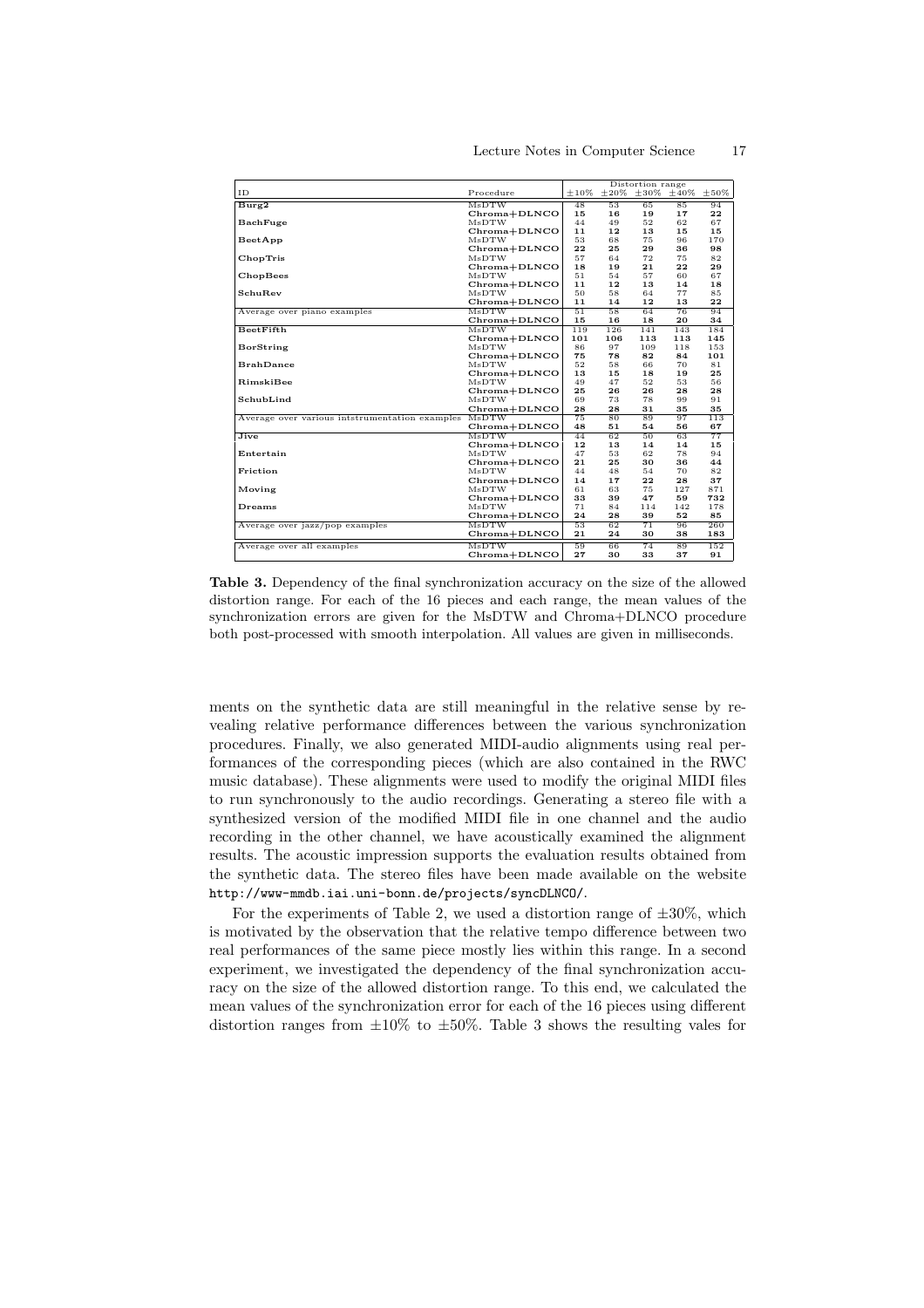|                                                |                | Distortion range |     |                     |            |           |
|------------------------------------------------|----------------|------------------|-----|---------------------|------------|-----------|
| ID                                             | Procedure      | $+10%$           |     | $\pm 20\% \pm 30\%$ | $\pm 40\%$ | $\pm50\%$ |
| Burg2                                          | MsDTW          | 48               | 53  | 65                  | 85         | 94        |
|                                                | $Chroma+DLNCO$ | 15               | 16  | 19                  | 17         | 22        |
| BachFuge                                       | MsDTW          | 44               | 49  | 52                  | 62         | 67        |
|                                                | $Chroma+DLNCO$ | 11               | 12  | 13                  | 15         | 15        |
| BeetApp                                        | MsDTW          | 53               | 68  | 75                  | 96         | 170       |
|                                                | $Chroma+DLNCO$ | 22               | 25  | 29                  | 36         | 98        |
| ChopTris                                       | MsDTW          | 57               | 64  | 72                  | 75         | 82        |
|                                                | $Chroma+DLNCO$ | 18               | 19  | 21                  | 22         | 29        |
| ChopBees                                       | MsDTW          | 51               | 54  | 57                  | 60         | 67        |
|                                                | $Chroma+DLNCO$ | 11               | 12  | 13                  | 14         | 18        |
| SchuRev                                        | MsDTW          | 50               | 58  | 64                  | 77         | 85        |
|                                                | $Chroma+DLNCO$ | 11               | 14  | 12                  | 13         | 22        |
| Average over piano examples                    | MsDTW          | 51               | 58  | 64                  | 76         | 94        |
|                                                | $Chroma+DLNCO$ | 15               | 16  | 18                  | 20         | 34        |
| <b>BeetFifth</b>                               | MsDTW          | 119              | 126 | 141                 | 143        | 184       |
|                                                | $Chroma+DLNCO$ | 101              | 106 | 113                 | 113        | 145       |
| BorString                                      | MsDTW          | 86               | 97  | 109                 | 118        | 153       |
|                                                | $Chroma+DLNCO$ | 75               | 78  | 82                  | 84         | 101       |
| <b>BrahDance</b>                               | MsDTW          | 52               | 58  | 66                  | 70         | 81        |
|                                                | $Chroma+DLNCO$ | 13               | 15  | 18                  | 19         | 25        |
| RimskiBee                                      | MsDTW          | 49               | 47  | 52                  | 53         | 56        |
|                                                | $Chroma+DLNCO$ | 25               | 26  | 26                  | 28         | 28        |
| SchubLind                                      | MsDTW          | 69               | 73  | 78                  | 99         | 91        |
|                                                | $Chroma+DLNCO$ | 28               | 28  | 31                  | 35         | 35        |
| Average over various intstrumentation examples | MsDTW          | 75               | 80  | 89                  | 97         | 113       |
|                                                | $Chroma+DLNCO$ | 48               | 51  | 54                  | 56         | 67        |
| Jive                                           | MsDTW          | 44               | 62  | 50                  | 63         | 77        |
|                                                | $Chroma+DLNCO$ | 12               | 13  | 14                  | 14         | 15        |
| Entertain                                      | MsDTW          | 47               | 53  | 62                  | 78         | 94        |
|                                                | $Chroma+DLNCO$ | 21               | 25  | 30                  | 36         | 44        |
| Friction                                       | MsDTW          | 44               | 48  | 54                  | 70         | 82        |
|                                                | $Chroma+DLNCO$ | 14               | 17  | 22                  | 28         | 37        |
| Moving                                         | MsDTW          | 61               | 63  | 75                  | 127        | 871       |
|                                                | $Chroma+DLNCO$ | 33               | 39  | 47                  | 59         | 732       |
| $D$ reams                                      | MsDTW          | 71               | 84  | 114                 | 142        | 178       |
|                                                | $Chroma+DLNCO$ | 24               | 28  | 39                  | 52         | 85        |
| Average over jazz/pop examples                 | MsDTW          | 53               | 62  | 71                  | 96         | 260       |
|                                                | $Chroma+DLNCO$ | 21               | 24  | 30                  | 38         | 183       |
| Average over all examples                      | MsDTW          | 59               | 66  | 74                  | 89         | 152       |
|                                                | $Chroma+DLNCO$ | 27               | 30  | 33                  | 37         | 91        |

Table 3. Dependency of the final synchronization accuracy on the size of the allowed distortion range. For each of the 16 pieces and each range, the mean values of the synchronization errors are given for the MsDTW and Chroma+DLNCO procedure both post-processed with smooth interpolation. All values are given in milliseconds.

ments on the synthetic data are still meaningful in the relative sense by revealing relative performance differences between the various synchronization procedures. Finally, we also generated MIDI-audio alignments using real performances of the corresponding pieces (which are also contained in the RWC music database). These alignments were used to modify the original MIDI files to run synchronously to the audio recordings. Generating a stereo file with a synthesized version of the modified MIDI file in one channel and the audio recording in the other channel, we have acoustically examined the alignment results. The acoustic impression supports the evaluation results obtained from the synthetic data. The stereo files have been made available on the website http://www-mmdb.iai.uni-bonn.de/projects/syncDLNCO/.

For the experiments of Table 2, we used a distortion range of  $\pm 30\%$ , which is motivated by the observation that the relative tempo difference between two real performances of the same piece mostly lies within this range. In a second experiment, we investigated the dependency of the final synchronization accuracy on the size of the allowed distortion range. To this end, we calculated the mean values of the synchronization error for each of the 16 pieces using different distortion ranges from  $\pm 10\%$  to  $\pm 50\%$ . Table 3 shows the resulting vales for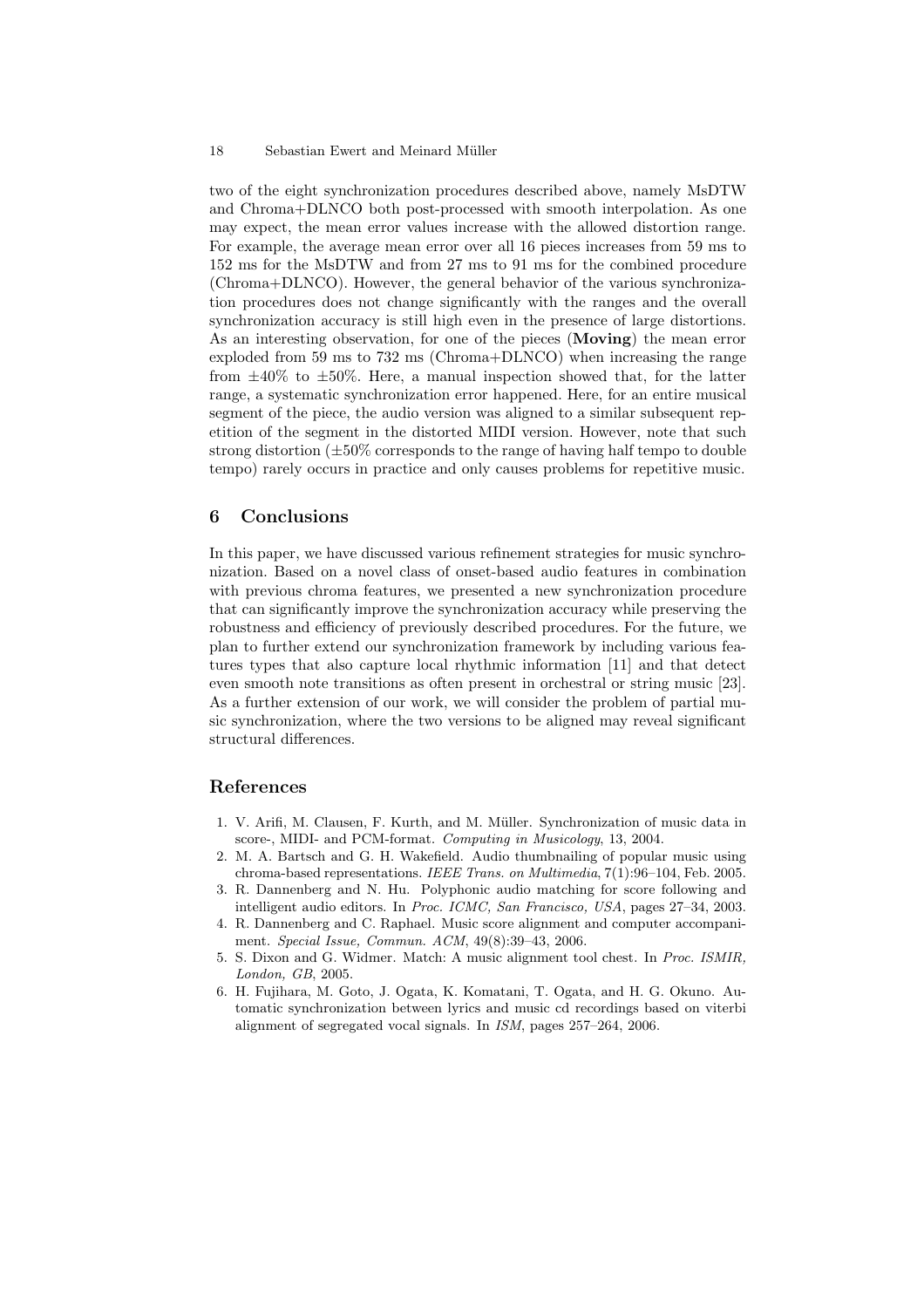two of the eight synchronization procedures described above, namely MsDTW and Chroma+DLNCO both post-processed with smooth interpolation. As one may expect, the mean error values increase with the allowed distortion range. For example, the average mean error over all 16 pieces increases from 59 ms to 152 ms for the MsDTW and from 27 ms to 91 ms for the combined procedure (Chroma+DLNCO). However, the general behavior of the various synchronization procedures does not change significantly with the ranges and the overall synchronization accuracy is still high even in the presence of large distortions. As an interesting observation, for one of the pieces (Moving) the mean error exploded from 59 ms to 732 ms (Chroma+DLNCO) when increasing the range from  $\pm 40\%$  to  $\pm 50\%$ . Here, a manual inspection showed that, for the latter range, a systematic synchronization error happened. Here, for an entire musical segment of the piece, the audio version was aligned to a similar subsequent repetition of the segment in the distorted MIDI version. However, note that such strong distortion  $(\pm 50\%$  corresponds to the range of having half tempo to double tempo) rarely occurs in practice and only causes problems for repetitive music.

# 6 Conclusions

In this paper, we have discussed various refinement strategies for music synchronization. Based on a novel class of onset-based audio features in combination with previous chroma features, we presented a new synchronization procedure that can significantly improve the synchronization accuracy while preserving the robustness and efficiency of previously described procedures. For the future, we plan to further extend our synchronization framework by including various features types that also capture local rhythmic information [11] and that detect even smooth note transitions as often present in orchestral or string music [23]. As a further extension of our work, we will consider the problem of partial music synchronization, where the two versions to be aligned may reveal significant structural differences.

# References

- 1. V. Arifi, M. Clausen, F. Kurth, and M. M¨uller. Synchronization of music data in score-, MIDI- and PCM-format. Computing in Musicology, 13, 2004.
- 2. M. A. Bartsch and G. H. Wakefield. Audio thumbnailing of popular music using chroma-based representations. IEEE Trans. on Multimedia, 7(1):96–104, Feb. 2005.
- 3. R. Dannenberg and N. Hu. Polyphonic audio matching for score following and intelligent audio editors. In Proc. ICMC, San Francisco, USA, pages 27–34, 2003.
- 4. R. Dannenberg and C. Raphael. Music score alignment and computer accompaniment. Special Issue, Commun. ACM, 49(8):39–43, 2006.
- 5. S. Dixon and G. Widmer. Match: A music alignment tool chest. In Proc. ISMIR, London, GB, 2005.
- 6. H. Fujihara, M. Goto, J. Ogata, K. Komatani, T. Ogata, and H. G. Okuno. Automatic synchronization between lyrics and music cd recordings based on viterbi alignment of segregated vocal signals. In ISM, pages 257–264, 2006.